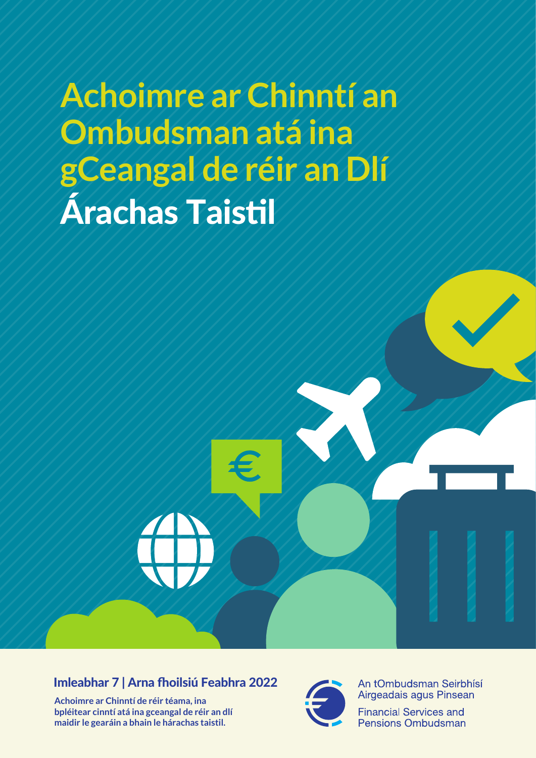**Achoimre ar Chinntí an Ombudsman atá ina gCeangal de réir an Dlí** Árachas Taistil



#### Imleabhar 7 | Arna fhoilsiú Feabhra 2022

**Achoimre ar Chinntí de réir téama, ina bpléitear cinntí atá ina gceangal de réir an dlí maidir le gearáin a bhain le hárachas taistil.**



An tOmbudsman Seirbhísí Airgeadais agus Pinsean

**Financial Services and Pensions Ombudsman**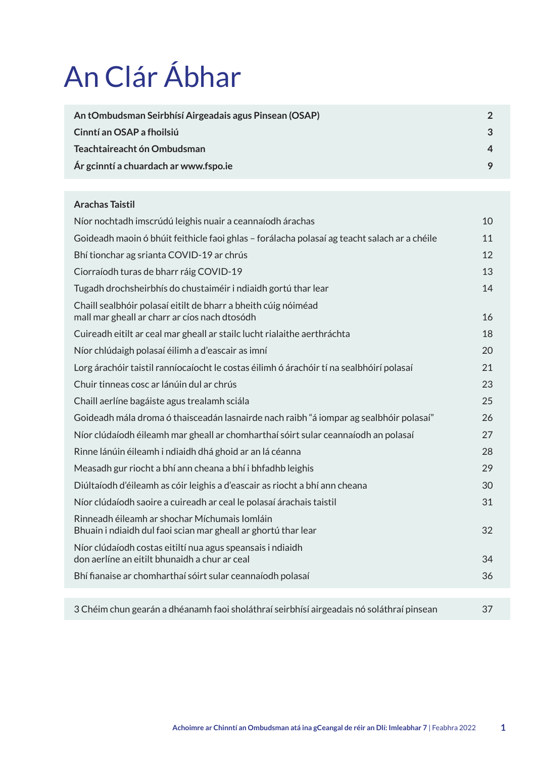# An Clár Ábhar

| An tOmbudsman Seirbhísí Airgeadais agus Pinsean (OSAP) |   |
|--------------------------------------------------------|---|
| Cinntí an OSAP a fhoilsiú                              | 3 |
| Teachtaireacht ón Ombudsman                            | 4 |
| Ár gcinntí a chuardach ar www.fspo.ie                  |   |

#### **Arachas Taistil**

| Níor nochtadh imscrúdú leighis nuair a ceannaíodh árachas                                                       | 10 |
|-----------------------------------------------------------------------------------------------------------------|----|
| Goideadh maoin ó bhúit feithicle faoi ghlas - forálacha polasaí ag teacht salach ar a chéile                    | 11 |
| Bhí tionchar ag srianta COVID-19 ar chrús                                                                       | 12 |
| Ciorraíodh turas de bharr ráig COVID-19                                                                         | 13 |
| Tugadh drochsheirbhís do chustaiméir i ndiaidh gortú thar lear                                                  | 14 |
| Chaill sealbhóir polasaí eitilt de bharr a bheith cúig nóiméad<br>mall mar gheall ar charr ar cíos nach dtosódh | 16 |
| Cuireadh eitilt ar ceal mar gheall ar stailc lucht rialaithe aerthráchta                                        | 18 |
| Níor chlúdaigh polasaí éilimh a d'eascair as imní                                                               | 20 |
| Lorg árachóir taistil ranníocaíocht le costas éilimh ó árachóir tí na sealbhóirí polasaí                        | 21 |
| Chuir tinneas cosc ar lánúin dul ar chrús                                                                       | 23 |
| Chaill aerlíne bagáiste agus trealamh sciála                                                                    | 25 |
| Goideadh mála droma ó thaisceadán lasnairde nach raibh "á iompar ag sealbhóir polasaí"                          | 26 |
| Níor clúdaíodh éileamh mar gheall ar chomharthaí sóirt sular ceannaíodh an polasaí                              | 27 |
| Rinne lánúin éileamh i ndiaidh dhá ghoid ar an lá céanna                                                        | 28 |
| Measadh gur riocht a bhí ann cheana a bhí i bhfadhb leighis                                                     | 29 |
| Diúltaíodh d'éileamh as cóir leighis a d'eascair as riocht a bhí ann cheana                                     | 30 |
| Níor clúdaíodh saoire a cuireadh ar ceal le polasaí árachais taistil                                            | 31 |
| Rinneadh éileamh ar shochar Míchumais Iomláin<br>Bhuain i ndiaidh dul faoi scian mar gheall ar ghortú thar lear | 32 |
| Níor clúdaíodh costas eitiltí nua agus speansais i ndiaidh<br>don aerlíne an eitilt bhunaidh a chur ar ceal     | 34 |
| Bhí fianaise ar chomharthaí sóirt sular ceannaíodh polasaí                                                      | 36 |
|                                                                                                                 |    |
| 3 Chéim chun gearán a dhéanamh faoi sholáthraí seirbhísí airgeadais nó soláthraí pinsean                        | 37 |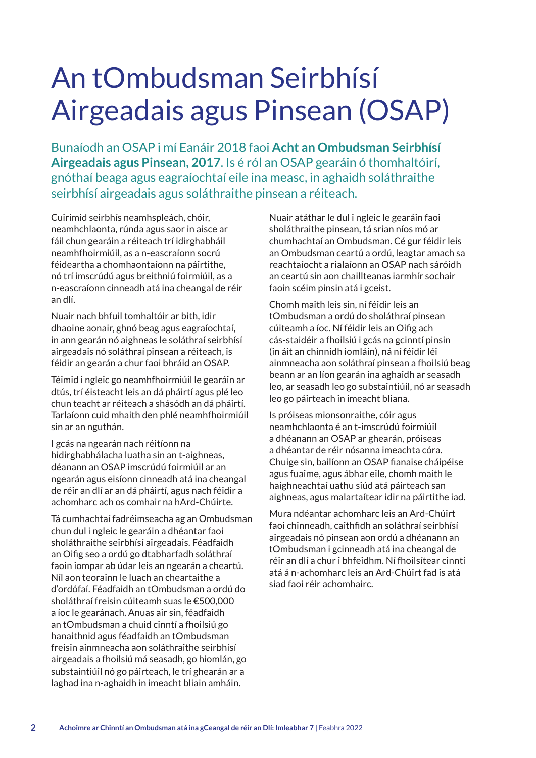# <span id="page-2-0"></span>An tOmbudsman Seirbhísí Airgeadais agus Pinsean (OSAP)

Bunaíodh an OSAP i mí Eanáir 2018 faoi **Acht an Ombudsman Seirbhísí Airgeadais agus Pinsean, 2017**. Is é ról an OSAP gearáin ó thomhaltóirí, gnóthaí beaga agus eagraíochtaí eile ina measc, in aghaidh soláthraithe seirbhísí airgeadais agus soláthraithe pinsean a réiteach.

Cuirimid seirbhís neamhspleách, chóir, neamhchlaonta, rúnda agus saor in aisce ar fáil chun gearáin a réiteach trí idirghabháil neamhfhoirmiúil, as a n-eascraíonn socrú féideartha a chomhaontaíonn na páirtithe, nó trí imscrúdú agus breithniú foirmiúil, as a n-eascraíonn cinneadh atá ina cheangal de réir an dlí.

Nuair nach bhfuil tomhaltóir ar bith, idir dhaoine aonair, ghnó beag agus eagraíochtaí, in ann gearán nó aighneas le soláthraí seirbhísí airgeadais nó soláthraí pinsean a réiteach, is féidir an gearán a chur faoi bhráid an OSAP.

Téimid i ngleic go neamhfhoirmiúil le gearáin ar dtús, trí éisteacht leis an dá pháirtí agus plé leo chun teacht ar réiteach a shásódh an dá pháirtí. Tarlaíonn cuid mhaith den phlé neamhfhoirmiúil sin ar an nguthán.

I gcás na ngearán nach réitíonn na hidirghabhálacha luatha sin an t-aighneas, déanann an OSAP imscrúdú foirmiúil ar an ngearán agus eisíonn cinneadh atá ina cheangal de réir an dlí ar an dá pháirtí, agus nach féidir a achomharc ach os comhair na hArd-Chúirte.

Tá cumhachtaí fadréimseacha ag an Ombudsman chun dul i ngleic le gearáin a dhéantar faoi sholáthraithe seirbhísí airgeadais. Féadfaidh an Oifig seo a ordú go dtabharfadh soláthraí faoin iompar ab údar leis an ngearán a cheartú. Níl aon teorainn le luach an cheartaithe a d'ordófaí. Féadfaidh an tOmbudsman a ordú do sholáthraí freisin cúiteamh suas le €500,000 a íoc le gearánach. Anuas air sin, féadfaidh an tOmbudsman a chuid cinntí a fhoilsiú go hanaithnid agus féadfaidh an tOmbudsman freisin ainmneacha aon soláthraithe seirbhísí airgeadais a fhoilsiú má seasadh, go hiomlán, go substaintiúil nó go páirteach, le trí ghearán ar a laghad ina n-aghaidh in imeacht bliain amháin.

Nuair atáthar le dul i ngleic le gearáin faoi sholáthraithe pinsean, tá srian níos mó ar chumhachtaí an Ombudsman. Cé gur féidir leis an Ombudsman ceartú a ordú, leagtar amach sa reachtaíocht a rialaíonn an OSAP nach sáróidh an ceartú sin aon chaillteanas iarmhír sochair faoin scéim pinsin atá i gceist.

Chomh maith leis sin, ní féidir leis an tOmbudsman a ordú do sholáthraí pinsean cúiteamh a íoc. Ní féidir leis an Oifig ach cás-staidéir a fhoilsiú i gcás na gcinntí pinsin (in áit an chinnidh iomláin), ná ní féidir léi ainmneacha aon soláthraí pinsean a fhoilsiú beag beann ar an líon gearán ina aghaidh ar seasadh leo, ar seasadh leo go substaintiúil, nó ar seasadh leo go páirteach in imeacht bliana.

Is próiseas mionsonraithe, cóir agus neamhchlaonta é an t-imscrúdú foirmiúil a dhéanann an OSAP ar ghearán, próiseas a dhéantar de réir nósanna imeachta córa. Chuige sin, bailíonn an OSAP fianaise cháipéise agus fuaime, agus ábhar eile, chomh maith le haighneachtaí uathu siúd atá páirteach san aighneas, agus malartaítear idir na páirtithe iad.

Mura ndéantar achomharc leis an Ard-Chúirt faoi chinneadh, caithfidh an soláthraí seirbhísí airgeadais nó pinsean aon ordú a dhéanann an tOmbudsman i gcinneadh atá ina cheangal de réir an dlí a chur i bhfeidhm. Ní fhoilsítear cinntí atá á n-achomharc leis an Ard-Chúirt fad is atá siad faoi réir achomhairc.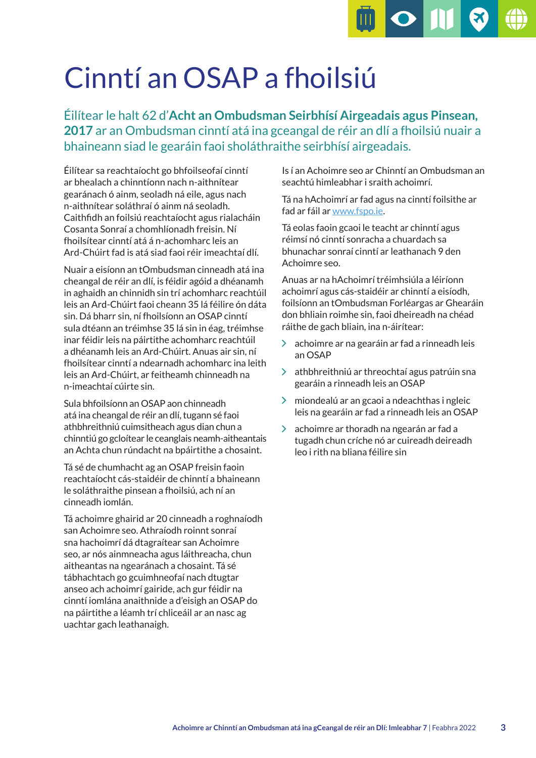# <span id="page-3-0"></span>Cinntí an OSAP a fhoilsiú

Éilítear le halt 62 d'**Acht an Ombudsman Seirbhísí Airgeadais agus Pinsean, 2017** ar an Ombudsman cinntí atá ina gceangal de réir an dlí a fhoilsiú nuair a bhaineann siad le gearáin faoi sholáthraithe seirbhísí airgeadais.

Éilítear sa reachtaíocht go bhfoilseofaí cinntí ar bhealach a chinntíonn nach n-aithnítear gearánach ó ainm, seoladh ná eile, agus nach n-aithnítear soláthraí ó ainm ná seoladh. Caithfidh an foilsiú reachtaíocht agus rialacháin Cosanta Sonraí a chomhlíonadh freisin. Ní fhoilsítear cinntí atá á n-achomharc leis an Ard-Chúirt fad is atá siad faoi réir imeachtaí dlí.

Nuair a eisíonn an tOmbudsman cinneadh atá ina cheangal de réir an dlí, is féidir agóid a dhéanamh in aghaidh an chinnidh sin trí achomharc reachtúil leis an Ard-Chúirt faoi cheann 35 lá féilire ón dáta sin. Dá bharr sin, ní fhoilsíonn an OSAP cinntí sula dtéann an tréimhse 35 lá sin in éag, tréimhse inar féidir leis na páirtithe achomharc reachtúil a dhéanamh leis an Ard-Chúirt. Anuas air sin, ní fhoilsítear cinntí a ndearnadh achomharc ina leith leis an Ard-Chúirt, ar feitheamh chinneadh na n-imeachtaí cúirte sin.

Sula bhfoilsíonn an OSAP aon chinneadh atá ina cheangal de réir an dlí, tugann sé faoi athbhreithniú cuimsitheach agus dian chun a chinntiú go gcloítear le ceanglais neamh-aitheantais an Achta chun rúndacht na bpáirtithe a chosaint.

Tá sé de chumhacht ag an OSAP freisin faoin reachtaíocht cás-staidéir de chinntí a bhaineann le soláthraithe pinsean a fhoilsiú, ach ní an cinneadh iomlán.

Tá achoimre ghairid ar 20 cinneadh a roghnaíodh san Achoimre seo. Athraíodh roinnt sonraí sna hachoimrí dá dtagraítear san Achoimre seo, ar nós ainmneacha agus láithreacha, chun aitheantas na ngearánach a chosaint. Tá sé tábhachtach go gcuimhneofaí nach dtugtar anseo ach achoimrí gairide, ach gur féidir na cinntí iomlána anaithnide a d'eisigh an OSAP do na páirtithe a léamh trí chliceáil ar an nasc ag uachtar gach leathanaigh.

Is í an Achoimre seo ar Chinntí an Ombudsman an seachtú himleabhar i sraith achoimrí.

Tá na hAchoimrí ar fad agus na cinntí foilsithe ar fad ar fáil ar [www.fspo.ie.](https://www.fspo.ie/)

Tá eolas faoin gcaoi le teacht ar chinntí agus réimsí nó cinntí sonracha a chuardach sa bhunachar sonraí cinntí ar leathanach 9 den Achoimre seo.

Anuas ar na hAchoimrí tréimhsiúla a léiríonn achoimrí agus cás-staidéir ar chinntí a eisíodh, foilsíonn an tOmbudsman Forléargas ar Ghearáin don bhliain roimhe sin, faoi dheireadh na chéad ráithe de gach bliain, ina n-áirítear:

- achoimre ar na gearáin ar fad a rinneadh leis an OSAP
- $\sum$ athbhreithniú ar threochtaí agus patrúin sna gearáin a rinneadh leis an OSAP
- miondealú ar an gcaoi a ndeachthas i ngleic leis na gearáin ar fad a rinneadh leis an OSAP
- achoimre ar thoradh na ngearán ar fad a tugadh chun críche nó ar cuireadh deireadh leo i rith na bliana féilire sin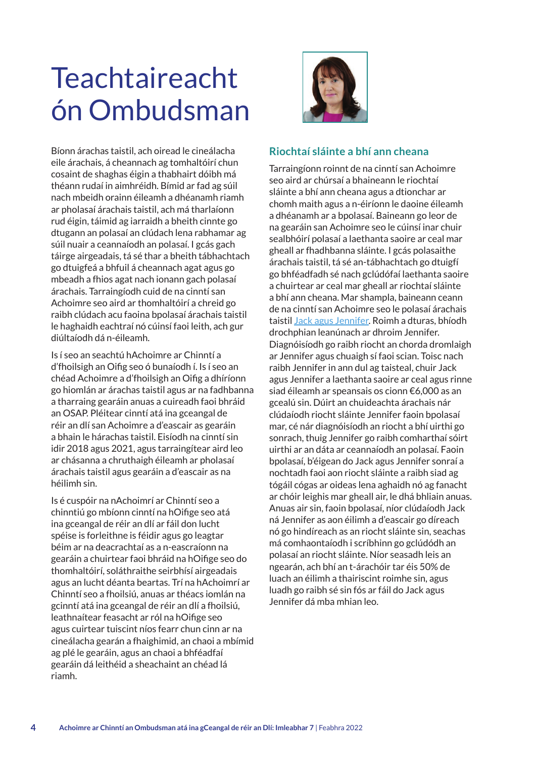# <span id="page-4-0"></span>**Teachtaireacht** ón Ombudsman



Bíonn árachas taistil, ach oiread le cineálacha eile árachais, á cheannach ag tomhaltóirí chun cosaint de shaghas éigin a thabhairt dóibh má théann rudaí in aimhréidh. Bímid ar fad ag súil nach mbeidh orainn éileamh a dhéanamh riamh ar pholasaí árachais taistil, ach má tharlaíonn rud éigin, táimid ag iarraidh a bheith cinnte go dtugann an polasaí an clúdach lena rabhamar ag súil nuair a ceannaíodh an polasaí. I gcás gach táirge airgeadais, tá sé thar a bheith tábhachtach go dtuigfeá a bhfuil á cheannach agat agus go mbeadh a fhios agat nach ionann gach polasaí árachais. Tarraingíodh cuid de na cinntí san Achoimre seo aird ar thomhaltóirí a chreid go raibh clúdach acu faoina bpolasaí árachais taistil le haghaidh eachtraí nó cúinsí faoi leith, ach gur diúltaíodh dá n-éileamh.

Is í seo an seachtú hAchoimre ar Chinntí a d'fhoilsigh an Oifig seo ó bunaíodh í. Is í seo an chéad Achoimre a d'fhoilsigh an Oifig a dhíríonn go hiomlán ar árachas taistil agus ar na fadhbanna a tharraing gearáin anuas a cuireadh faoi bhráid an OSAP. Pléitear cinntí atá ina gceangal de réir an dlí san Achoimre a d'eascair as gearáin a bhain le hárachas taistil. Eisíodh na cinntí sin idir 2018 agus 2021, agus tarraingítear aird leo ar chásanna a chruthaigh éileamh ar pholasaí árachais taistil agus gearáin a d'eascair as na héilimh sin.

Is é cuspóir na nAchoimrí ar Chinntí seo a chinntiú go mbíonn cinntí na hOifige seo atá ina gceangal de réir an dlí ar fáil don lucht spéise is forleithne is féidir agus go leagtar béim ar na deacrachtaí as a n-eascraíonn na gearáin a chuirtear faoi bhráid na hOifige seo do thomhaltóirí, soláthraithe seirbhísí airgeadais agus an lucht déanta beartas. Trí na hAchoimrí ar Chinntí seo a fhoilsiú, anuas ar théacs iomlán na gcinntí atá ina gceangal de réir an dlí a fhoilsiú, leathnaítear feasacht ar ról na hOifige seo agus cuirtear tuiscint níos fearr chun cinn ar na cineálacha gearán a fhaighimid, an chaoi a mbímid ag plé le gearáin, agus an chaoi a bhféadfaí gearáin dá leithéid a sheachaint an chéad lá riamh.

#### **Riochtaí sláinte a bhí ann cheana**

Tarraingíonn roinnt de na cinntí san Achoimre seo aird ar chúrsaí a bhaineann le riochtaí sláinte a bhí ann cheana agus a dtionchar ar chomh maith agus a n-éiríonn le daoine éileamh a dhéanamh ar a bpolasaí. Baineann go leor de na gearáin san Achoimre seo le cúinsí inar chuir sealbhóirí polasaí a laethanta saoire ar ceal mar gheall ar fhadhbanna sláinte. I gcás polasaithe árachais taistil, tá sé an-tábhachtach go dtuigfí go bhféadfadh sé nach gclúdófaí laethanta saoire a chuirtear ar ceal mar gheall ar riochtaí sláinte a bhí ann cheana. Mar shampla, baineann ceann de na cinntí san Achoimre seo le polasaí árachais taistil [Jack agus Jennifer](#page-29-0). Roimh a dturas, bhíodh drochphian leanúnach ar dhroim Jennifer. Diagnóisíodh go raibh riocht an chorda dromlaigh ar Jennifer agus chuaigh sí faoi scian. Toisc nach raibh Jennifer in ann dul ag taisteal, chuir Jack agus Jennifer a laethanta saoire ar ceal agus rinne siad éileamh ar speansais os cionn €6,000 as an gcealú sin. Dúirt an chuideachta árachais nár clúdaíodh riocht sláinte Jennifer faoin bpolasaí mar, cé nár diagnóisíodh an riocht a bhí uirthi go sonrach, thuig Jennifer go raibh comharthaí sóirt uirthi ar an dáta ar ceannaíodh an polasaí. Faoin bpolasaí, b'éigean do Jack agus Jennifer sonraí a nochtadh faoi aon riocht sláinte a raibh siad ag tógáil cógas ar oideas lena aghaidh nó ag fanacht ar chóir leighis mar gheall air, le dhá bhliain anuas. Anuas air sin, faoin bpolasaí, níor clúdaíodh Jack ná Jennifer as aon éilimh a d'eascair go díreach nó go hindíreach as an riocht sláinte sin, seachas má comhaontaíodh i scríbhinn go gclúdódh an polasaí an riocht sláinte. Níor seasadh leis an ngearán, ach bhí an t-árachóir tar éis 50% de luach an éilimh a thairiscint roimhe sin, agus luadh go raibh sé sin fós ar fáil do Jack agus Jennifer dá mba mhian leo.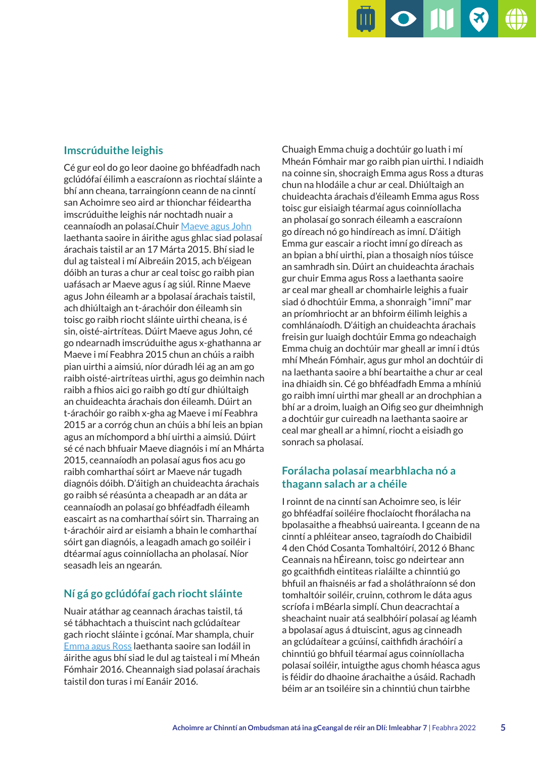

#### **Imscrúduithe leighis**

Cé gur eol do go leor daoine go bhféadfadh nach gclúdófaí éilimh a eascraíonn as riochtaí sláinte a bhí ann cheana, tarraingíonn ceann de na cinntí san Achoimre seo aird ar thionchar féideartha imscrúduithe leighis nár nochtadh nuair a ceannaíodh an polasaí.Chuir [Maeve agus John](#page-10-0) laethanta saoire in áirithe agus ghlac siad polasaí árachais taistil ar an 17 Márta 2015. Bhí siad le dul ag taisteal i mí Aibreáin 2015, ach b'éigean dóibh an turas a chur ar ceal toisc go raibh pian uafásach ar Maeve agus í ag siúl. Rinne Maeve agus John éileamh ar a bpolasaí árachais taistil, ach dhiúltaigh an t-árachóir don éileamh sin toisc go raibh riocht sláinte uirthi cheana, is é sin, oisté-airtríteas. Dúirt Maeve agus John, cé go ndearnadh imscrúduithe agus x-ghathanna ar Maeve i mí Feabhra 2015 chun an chúis a raibh pian uirthi a aimsiú, níor dúradh léi ag an am go raibh oisté-airtríteas uirthi, agus go deimhin nach raibh a fhios aici go raibh go dtí gur dhiúltaigh an chuideachta árachais don éileamh. Dúirt an t-árachóir go raibh x-gha ag Maeve i mí Feabhra 2015 ar a corróg chun an chúis a bhí leis an bpian agus an míchompord a bhí uirthi a aimsiú. Dúirt sé cé nach bhfuair Maeve diagnóis i mí an Mhárta 2015, ceannaíodh an polasaí agus fios acu go raibh comharthaí sóirt ar Maeve nár tugadh diagnóis dóibh. D'áitigh an chuideachta árachais go raibh sé réasúnta a cheapadh ar an dáta ar ceannaíodh an polasaí go bhféadfadh éileamh eascairt as na comharthaí sóirt sin. Tharraing an t-árachóir aird ar eisiamh a bhain le comharthaí sóirt gan diagnóis, a leagadh amach go soiléir i dtéarmaí agus coinníollacha an pholasaí. Níor seasadh leis an ngearán.

#### **Ní gá go gclúdófaí gach riocht sláinte**

Nuair atáthar ag ceannach árachas taistil, tá sé tábhachtach a thuiscint nach gclúdaítear gach riocht sláinte i gcónaí. Mar shampla, chuir [Emma agus Ross](#page-20-0) laethanta saoire san Iodáil in áirithe agus bhí siad le dul ag taisteal i mí Mheán Fómhair 2016. Cheannaigh siad polasaí árachais taistil don turas i mí Eanáir 2016.

Chuaigh Emma chuig a dochtúir go luath i mí Mheán Fómhair mar go raibh pian uirthi. I ndiaidh na coinne sin, shocraigh Emma agus Ross a dturas chun na hIodáile a chur ar ceal. Dhiúltaigh an chuideachta árachais d'éileamh Emma agus Ross toisc gur eisiaigh téarmaí agus coinníollacha an pholasaí go sonrach éileamh a eascraíonn go díreach nó go hindíreach as imní. D'áitigh Emma gur eascair a riocht imní go díreach as an bpian a bhí uirthi, pian a thosaigh níos túisce an samhradh sin. Dúirt an chuideachta árachais gur chuir Emma agus Ross a laethanta saoire ar ceal mar gheall ar chomhairle leighis a fuair siad ó dhochtúir Emma, a shonraigh "imní" mar an príomhriocht ar an bhfoirm éilimh leighis a comhlánaíodh. D'áitigh an chuideachta árachais freisin gur luaigh dochtúir Emma go ndeachaigh Emma chuig an dochtúir mar gheall ar imní i dtús mhí Mheán Fómhair, agus gur mhol an dochtúir di na laethanta saoire a bhí beartaithe a chur ar ceal ina dhiaidh sin. Cé go bhféadfadh Emma a mhíniú go raibh imní uirthi mar gheall ar an drochphian a bhí ar a droim, luaigh an Oifig seo gur dheimhnigh a dochtúir gur cuireadh na laethanta saoire ar ceal mar gheall ar a himní, riocht a eisiadh go sonrach sa pholasaí.

#### **Forálacha polasaí mearbhlacha nó a thagann salach ar a chéile**

I roinnt de na cinntí san Achoimre seo, is léir go bhféadfaí soiléire fhoclaíocht fhorálacha na bpolasaithe a fheabhsú uaireanta. I gceann de na cinntí a phléitear anseo, tagraíodh do Chaibidil 4 den Chód Cosanta Tomhaltóirí, 2012 ó Bhanc Ceannais na hÉireann, toisc go ndeirtear ann go gcaithfidh eintiteas rialáilte a chinntiú go bhfuil an fhaisnéis ar fad a sholáthraíonn sé don tomhaltóir soiléir, cruinn, cothrom le dáta agus scríofa i mBéarla simplí. Chun deacrachtaí a sheachaint nuair atá sealbhóirí polasaí ag léamh a bpolasaí agus á dtuiscint, agus ag cinneadh an gclúdaítear a gcúinsí, caithfidh árachóirí a chinntiú go bhfuil téarmaí agus coinníollacha polasaí soiléir, intuigthe agus chomh héasca agus is féidir do dhaoine árachaithe a úsáid. Rachadh béim ar an tsoiléire sin a chinntiú chun tairbhe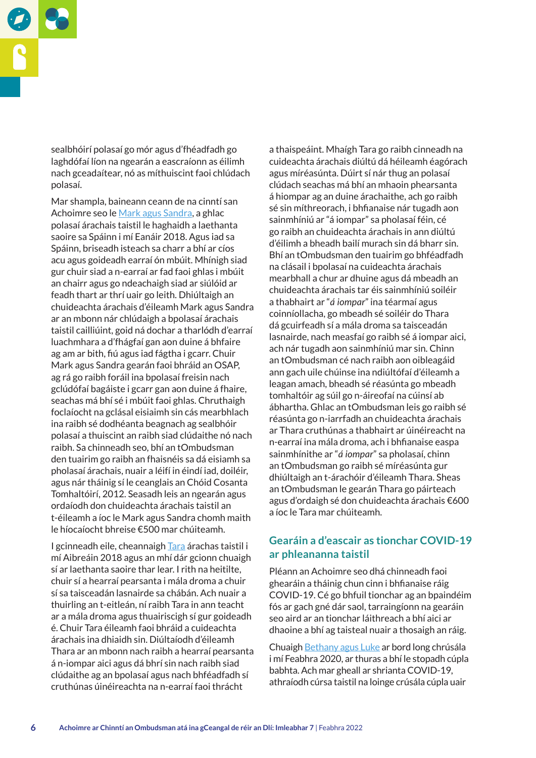sealbhóirí polasaí go mór agus d'fhéadfadh go laghdófaí líon na ngearán a eascraíonn as éilimh nach gceadaítear, nó as míthuiscint faoi chlúdach polasaí.

Mar shampla, baineann ceann de na cinntí san Achoimre seo le [Mark agus Sandra](#page-11-0), a ghlac polasaí árachais taistil le haghaidh a laethanta saoire sa Spáinn i mí Eanáir 2018. Agus iad sa Spáinn, briseadh isteach sa charr a bhí ar cíos acu agus goideadh earraí ón mbúit. Mhínigh siad gur chuir siad a n-earraí ar fad faoi ghlas i mbúit an chairr agus go ndeachaigh siad ar siúlóid ar feadh thart ar thrí uair go leith. Dhiúltaigh an chuideachta árachais d'éileamh Mark agus Sandra ar an mbonn nár chlúdaigh a bpolasaí árachais taistil cailliúint, goid ná dochar a tharlódh d'earraí luachmhara a d'fhágfaí gan aon duine á bhfaire ag am ar bith, fiú agus iad fágtha i gcarr. Chuir Mark agus Sandra gearán faoi bhráid an OSAP, ag rá go raibh foráil ina bpolasaí freisin nach gclúdófaí bagáiste i gcarr gan aon duine á fhaire, seachas má bhí sé i mbúit faoi ghlas. Chruthaigh foclaíocht na gclásal eisiaimh sin cás mearbhlach ina raibh sé dodhéanta beagnach ag sealbhóir polasaí a thuiscint an raibh siad clúdaithe nó nach raibh. Sa chinneadh seo, bhí an tOmbudsman den tuairim go raibh an fhaisnéis sa dá eisiamh sa pholasaí árachais, nuair a léifí in éindí iad, doiléir, agus nár tháinig sí le ceanglais an Chóid Cosanta Tomhaltóirí, 2012. Seasadh leis an ngearán agus ordaíodh don chuideachta árachais taistil an t-éileamh a íoc le Mark agus Sandra chomh maith le híocaíocht bhreise €500 mar chúiteamh.

I gcinneadh eile, cheannaigh [Tara](#page-26-0) árachas taistil i mí Aibreáin 2018 agus an mhí dár gcionn chuaigh sí ar laethanta saoire thar lear. I rith na heitilte, chuir sí a hearraí pearsanta i mála droma a chuir sí sa taisceadán lasnairde sa chábán. Ach nuair a thuirling an t-eitleán, ní raibh Tara in ann teacht ar a mála droma agus thuairiscigh sí gur goideadh é. Chuir Tara éileamh faoi bhráid a cuideachta árachais ina dhiaidh sin. Diúltaíodh d'éileamh Thara ar an mbonn nach raibh a hearraí pearsanta á n-iompar aici agus dá bhrí sin nach raibh siad clúdaithe ag an bpolasaí agus nach bhféadfadh sí cruthúnas úinéireachta na n-earraí faoi thrácht

a thaispeáint. Mhaígh Tara go raibh cinneadh na cuideachta árachais diúltú dá héileamh éagórach agus míréasúnta. Dúirt sí nár thug an polasaí clúdach seachas má bhí an mhaoin phearsanta á hiompar ag an duine árachaithe, ach go raibh sé sin míthreorach, i bhfianaise nár tugadh aon sainmhíniú ar "á iompar" sa pholasaí féin, cé go raibh an chuideachta árachais in ann diúltú d'éilimh a bheadh bailí murach sin dá bharr sin. Bhí an tOmbudsman den tuairim go bhféadfadh na clásail i bpolasaí na cuideachta árachais mearbhall a chur ar dhuine agus dá mbeadh an chuideachta árachais tar éis sainmhíniú soiléir a thabhairt ar "*á iompar*" ina téarmaí agus coinníollacha, go mbeadh sé soiléir do Thara dá gcuirfeadh sí a mála droma sa taisceadán lasnairde, nach measfaí go raibh sé á iompar aici, ach nár tugadh aon sainmhíniú mar sin. Chinn an tOmbudsman cé nach raibh aon oibleagáid ann gach uile chúinse ina ndiúltófaí d'éileamh a leagan amach, bheadh sé réasúnta go mbeadh tomhaltóir ag súil go n-áireofaí na cúinsí ab ábhartha. Ghlac an tOmbudsman leis go raibh sé réasúnta go n-iarrfadh an chuideachta árachais ar Thara cruthúnas a thabhairt ar úinéireacht na n-earraí ina mála droma, ach i bhfianaise easpa sainmhínithe ar "*á iompar*" sa pholasaí, chinn an tOmbudsman go raibh sé míréasúnta gur dhiúltaigh an t-árachóir d'éileamh Thara. Sheas an tOmbudsman le gearán Thara go páirteach agus d'ordaigh sé don chuideachta árachais €600 a íoc le Tara mar chúiteamh.

#### **Gearáin a d'eascair as tionchar COVID-19 ar phleananna taistil**

Pléann an Achoimre seo dhá chinneadh faoi ghearáin a tháinig chun cinn i bhfianaise ráig COVID-19. Cé go bhfuil tionchar ag an bpaindéim fós ar gach gné dár saol, tarraingíonn na gearáin seo aird ar an tionchar láithreach a bhí aici ar dhaoine a bhí ag taisteal nuair a thosaigh an ráig.

Chuaigh [Bethany agus Luke](#page-12-0) ar bord long chrúsála i mí Feabhra 2020, ar thuras a bhí le stopadh cúpla babhta. Ach mar gheall ar shrianta COVID-19, athraíodh cúrsa taistil na loinge crúsála cúpla uair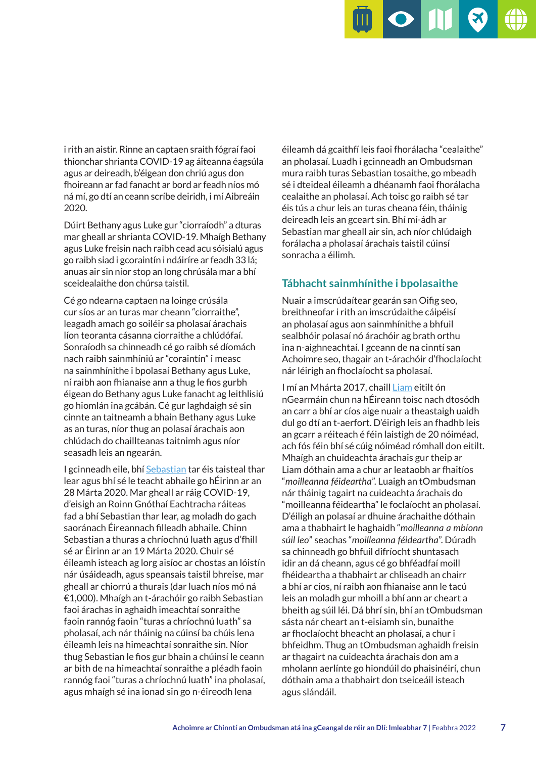

i rith an aistir. Rinne an captaen sraith fógraí faoi thionchar shrianta COVID-19 ag áiteanna éagsúla agus ar deireadh, b'éigean don chriú agus don fhoireann ar fad fanacht ar bord ar feadh níos mó ná mí, go dtí an ceann scríbe deiridh, i mí Aibreáin 2020.

Dúirt Bethany agus Luke gur "ciorraíodh" a dturas mar gheall ar shrianta COVID-19. Mhaígh Bethany agus Luke freisin nach raibh cead acu sóisialú agus go raibh siad i gcoraintín i ndáiríre ar feadh 33 lá; anuas air sin níor stop an long chrúsála mar a bhí sceidealaithe don chúrsa taistil.

Cé go ndearna captaen na loinge crúsála cur síos ar an turas mar cheann "ciorraithe", leagadh amach go soiléir sa pholasaí árachais líon teoranta cásanna ciorraithe a chlúdófaí. Sonraíodh sa chinneadh cé go raibh sé díomách nach raibh sainmhíniú ar "coraintín" i measc na sainmhínithe i bpolasaí Bethany agus Luke, ní raibh aon fhianaise ann a thug le fios gurbh éigean do Bethany agus Luke fanacht ag leithlisiú go hiomlán ina gcábán. Cé gur laghdaigh sé sin cinnte an taitneamh a bhain Bethany agus Luke as an turas, níor thug an polasaí árachais aon chlúdach do chaillteanas taitnimh agus níor seasadh leis an ngearán.

I gcinneadh eile, bhí [Sebastian](#page-13-0) tar éis taisteal thar lear agus bhí sé le teacht abhaile go hÉirinn ar an 28 Márta 2020. Mar gheall ar ráig COVID-19, d'eisigh an Roinn Gnóthaí Eachtracha ráiteas fad a bhí Sebastian thar lear, ag moladh do gach saoránach Éireannach filleadh abhaile. Chinn Sebastian a thuras a chríochnú luath agus d'fhill sé ar Éirinn ar an 19 Márta 2020. Chuir sé éileamh isteach ag lorg aisíoc ar chostas an lóistín nár úsáideadh, agus speansais taistil bhreise, mar gheall ar chiorrú a thurais (dar luach níos mó ná €1,000). Mhaígh an t-árachóir go raibh Sebastian faoi árachas in aghaidh imeachtaí sonraithe faoin rannóg faoin "turas a chríochnú luath" sa pholasaí, ach nár tháinig na cúinsí ba chúis lena éileamh leis na himeachtaí sonraithe sin. Níor thug Sebastian le fios gur bhain a chúinsí le ceann ar bith de na himeachtaí sonraithe a pléadh faoin rannóg faoi "turas a chríochnú luath" ina pholasaí, agus mhaígh sé ina ionad sin go n-éireodh lena

éileamh dá gcaithfí leis faoi fhorálacha "cealaithe" an pholasaí. Luadh i gcinneadh an Ombudsman mura raibh turas Sebastian tosaithe, go mbeadh sé i dteideal éileamh a dhéanamh faoi fhorálacha cealaithe an pholasaí. Ach toisc go raibh sé tar éis tús a chur leis an turas cheana féin, tháinig deireadh leis an gceart sin. Bhí mí-ádh ar Sebastian mar gheall air sin, ach níor chlúdaigh forálacha a pholasaí árachais taistil cúinsí sonracha a éilimh.

#### **Tábhacht sainmhínithe i bpolasaithe**

Nuair a imscrúdaítear gearán san Oifig seo, breithneofar i rith an imscrúdaithe cáipéisí an pholasaí agus aon sainmhínithe a bhfuil sealbhóir polasaí nó árachóir ag brath orthu ina n-aighneachtaí. I gceann de na cinntí san Achoimre seo, thagair an t-árachóir d'fhoclaíocht nár léirigh an fhoclaíocht sa pholasaí.

I mí an Mhárta 2017, chaill [Liam](#page-16-0) eitilt ón nGearmáin chun na hÉireann toisc nach dtosódh an carr a bhí ar cíos aige nuair a theastaigh uaidh dul go dtí an t-aerfort. D'éirigh leis an fhadhb leis an gcarr a réiteach é féin laistigh de 20 nóiméad, ach fós féin bhí sé cúig nóiméad rómhall don eitilt. Mhaígh an chuideachta árachais gur theip ar Liam dóthain ama a chur ar leataobh ar fhaitíos "*moilleanna féideartha*". Luaigh an tOmbudsman nár tháinig tagairt na cuideachta árachais do "moilleanna féideartha" le foclaíocht an pholasaí. D'éiligh an polasaí ar dhuine árachaithe dóthain ama a thabhairt le haghaidh "*moilleanna a mbíonn súil leo*" seachas "*moilleanna féideartha*". Dúradh sa chinneadh go bhfuil difríocht shuntasach idir an dá cheann, agus cé go bhféadfaí moill fhéideartha a thabhairt ar chliseadh an chairr a bhí ar cíos, ní raibh aon fhianaise ann le tacú leis an moladh gur mhoill a bhí ann ar cheart a bheith ag súil léi. Dá bhrí sin, bhí an tOmbudsman sásta nár cheart an t-eisiamh sin, bunaithe ar fhoclaíocht bheacht an pholasaí, a chur i bhfeidhm. Thug an tOmbudsman aghaidh freisin ar thagairt na cuideachta árachais don am a mholann aerlínte go hiondúil do phaisinéirí, chun dóthain ama a thabhairt don tseiceáil isteach agus slándáil.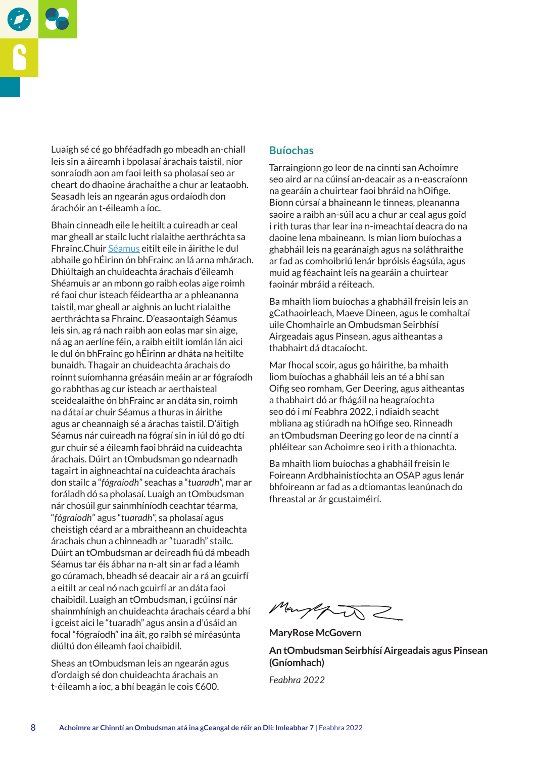Luaigh sé cé go bhféadfadh go mbeadh an-chiall leis sin a áireamh i bpolasaí árachais taistil, níor sonraíodh aon am faoi leith sa pholasaí seo ar cheart do dhaoine árachaithe a chur ar leataobh. Seasadh leis an ngearán agus ordaíodh don árachóir an t-éileamh a íoc.

Bhain cinneadh eile le heitilt a cuireadh ar ceal mar gheall ar stailc lucht rialaithe aerthráchta sa Fhrainc.Chuir [Séamus](#page-18-0) eitilt eile in áirithe le dul abhaile go hÉirinn ón bhFrainc an lá arna mhárach. Dhiúltaigh an chuideachta árachais d'éileamh Shéamuis ar an mbonn go raibh eolas aige roimh ré faoi chur isteach féideartha ar a phleananna taistil, mar gheall ar aighnis an lucht rialaithe aerthráchta sa Fhrainc. D'easaontaigh Séamus leis sin, ag rá nach raibh aon eolas mar sin aige, ná ag an aerlíne féin, a raibh eitilt iomlán lán aici le dul ón bhFrainc go hÉirinn ar dháta na heitilte bunaidh. Thagair an chuideachta árachais do roinnt suíomhanna gréasáin meáin ar ar fógraíodh go rabhthas ag cur isteach ar aerthaisteal sceidealaithe ón bhFrainc ar an dáta sin, roimh na dátaí ar chuir Séamus a thuras in áirithe agus ar cheannaigh sé a árachas taistil. D'áitigh Séamus nár cuireadh na fógraí sin in iúl dó go dtí gur chuir sé a éileamh faoi bhráid na cuideachta árachais. Dúirt an tOmbudsman go ndearnadh tagairt in aighneachtaí na cuideachta árachais don stailc a "*fógraíodh*" seachas a "*tuaradh*", mar ar foráladh dó sa pholasaí. Luaigh an tOmbudsman nár chosúil gur sainmhíníodh ceachtar téarma, "*fógraíodh*" agus "*tuaradh*", sa pholasaí agus cheistigh céard ar a mbraitheann an chuideachta árachais chun a chinneadh ar "tuaradh" stailc. Dúirt an tOmbudsman ar deireadh fiú dá mbeadh Séamus tar éis ábhar na n-alt sin ar fad a léamh go cúramach, bheadh sé deacair air a rá an gcuirfí a eitilt ar ceal nó nach gcuirfí ar an dáta faoi chaibidil. Luaigh an tOmbudsman, i gcúinsí nár shainmhínigh an chuideachta árachais céard a bhí i gceist aici le "tuaradh" agus ansin a d'úsáid an focal "fógraíodh" ina áit, go raibh sé míréasúnta diúltú don éileamh faoi chaibidil.

Sheas an tOmbudsman leis an ngearán agus d'ordaigh sé don chuideachta árachais an t-éileamh a íoc, a bhí beagán le cois €600.

#### **Buíochas**

Tarraingíonn go leor de na cinntí san Achoimre seo aird ar na cúinsí an-deacair as a n-eascraíonn na gearáin a chuirtear faoi bhráid na hOifige. Bíonn cúrsaí a bhaineann le tinneas, pleananna saoire a raibh an-súil acu a chur ar ceal agus goid i rith turas thar lear ina n-imeachtaí deacra do na daoine lena mbaineann. Is mian liom buíochas a ghabháil leis na gearánaigh agus na soláthraithe ar fad as comhoibriú lenár bpróisis éagsúla, agus muid ag féachaint leis na gearáin a chuirtear faoinár mbráid a réiteach.

Ba mhaith liom buíochas a ghabháil freisin leis an gCathaoirleach, Maeve Dineen, agus le comhaltaí uile Chomhairle an Ombudsman Seirbhísí Airgeadais agus Pinsean, agus aitheantas a thabhairt dá dtacaíocht.

Mar fhocal scoir, agus go háirithe, ba mhaith liom buíochas a ghabháil leis an té a bhí san Oifig seo romham, Ger Deering, agus aitheantas a thabhairt dó ar fhágáil na heagraíochta seo dó i mí Feabhra 2022, i ndiaidh seacht mbliana ag stiúradh na hOifige seo. Rinneadh an tOmbudsman Deering go leor de na cinntí a phléitear san Achoimre seo i rith a thionachta.

Ba mhaith liom buíochas a ghabháil freisin le Foireann Ardbhainistíochta an OSAP agus lenár bhfoireann ar fad as a dtiomantas leanúnach do fhreastal ar ár gcustaiméirí.

Margaret

**MaryRose McGovern**

**An tOmbudsman Seirbhísí Airgeadais agus Pinsean (Gníomhach)**

*Feabhra 2022*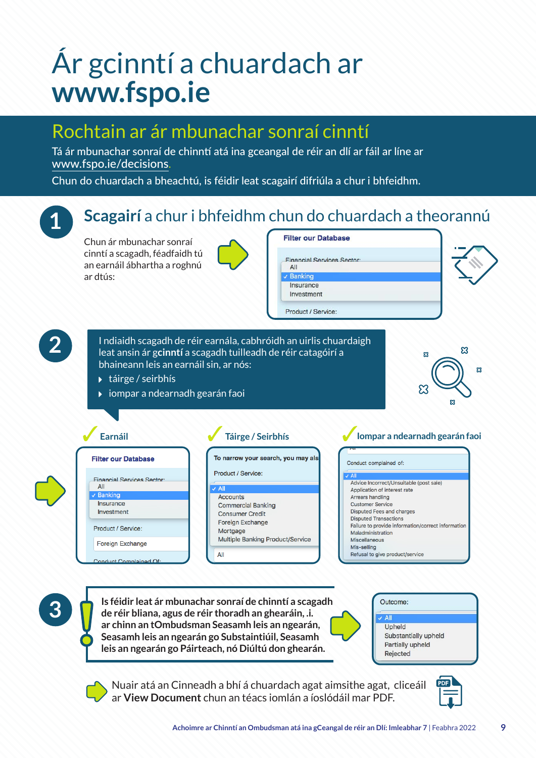# <span id="page-9-0"></span>Ár gcinntí a chuardach ar **www.fspo.ie**

### Rochtain ar ár mbunachar sonraí cinntí

Tá ár mbunachar sonraí de chinntí atá ina gceangal de réir an dlí ar fáil ar líne ar [www.fspo.ie/decisions](https://www.fspo.ie/decisions/).

Chun do chuardach a bheachtú, is féidir leat scagairí difriúla a chur i bhfeidhm.

### **Scagairí** a chur i bhfeidhm chun do chuardach a theorannú

Chun ár mbunachar sonraí cinntí a scagadh, féadfaidh tú an earnáil ábhartha a roghnú ar dtús:







 $\boldsymbol{\mathcal{Z}}$ 

 $\boldsymbol{\mathbb{Z}}$ 

**2** I ndiaidh scagadh de réir earnála, cabhróidh an uirlis chuardaigh leat ansin ár g**cinntí** a scagadh tuilleadh de réir catagóirí a 53 bhaineann leis an earnáil sin, ar nós: ▶ táirge / seirbhís iompar a ndearnadh gearán faoi **Earnáil Táirge / Seirbhís Iompar a ndearnadh gearán faoi Filter our Database** To narrow your search, you may als Conduct complained of:



Foreign Exchange

Product / Service:

#### $\overline{V}$  All

Accounts **Commercial Banking Consumer Credit** Foreign Exchange Mortgage Multiple Banking Product/Service

Advice Incorrect/Unsuitable (post sale) Application of interest rate Arrears handling **Customer Service** Disputed Fees and charges Disputed Transactions Failure to provide information/correct information Maladministration Miscellaneous Mis-selling Refusal to give product/service

**3**

**1**

**Is féidir leat ár mbunachar sonraí de chinntí a scagadh de réir bliana, agus de réir thoradh an ghearáin, .i. ar chinn an tOmbudsman Seasamh leis an ngearán, Seasamh leis an ngearán go Substaintiúil, Seasamh leis an ngearán go Páirteach, nó Diúltú don ghearán.** 

All



Outcome:  $\Delta$ **Upheld** Substantially upheld Partially upheld Rejected



Nuair atá an Cinneadh a bhí á chuardach agat aimsithe agat, cliceáil ar **View Document** chun an téacs iomlán a íoslódáil mar PDF.

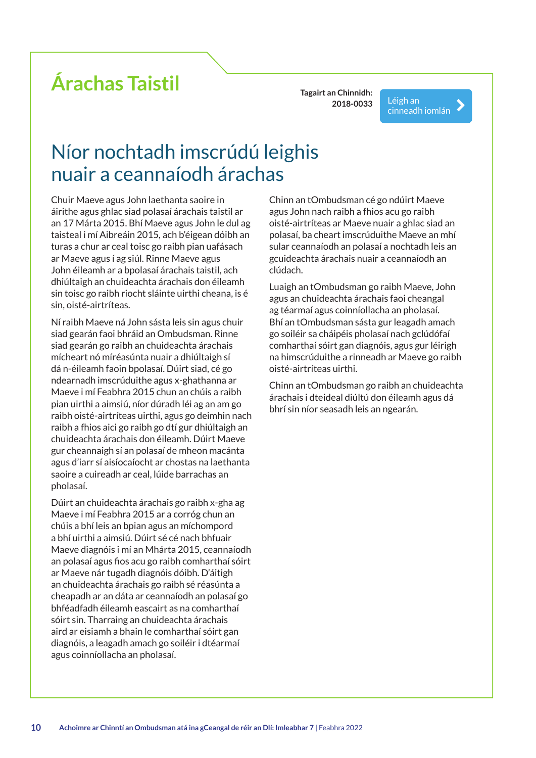**Tagairt an Chinnidh: 2018-0033** Léigh an

[cinneadh iomlán](https://www.fspo.ie/decisions/documents/2018-0033.pdf) 

### <span id="page-10-0"></span>Níor nochtadh imscrúdú leighis nuair a ceannaíodh árachas

Chuir Maeve agus John laethanta saoire in áirithe agus ghlac siad polasaí árachais taistil ar an 17 Márta 2015. Bhí Maeve agus John le dul ag taisteal i mí Aibreáin 2015, ach b'éigean dóibh an turas a chur ar ceal toisc go raibh pian uafásach ar Maeve agus í ag siúl. Rinne Maeve agus John éileamh ar a bpolasaí árachais taistil, ach dhiúltaigh an chuideachta árachais don éileamh sin toisc go raibh riocht sláinte uirthi cheana, is é sin, oisté-airtríteas.

Ní raibh Maeve ná John sásta leis sin agus chuir siad gearán faoi bhráid an Ombudsman. Rinne siad gearán go raibh an chuideachta árachais mícheart nó míréasúnta nuair a dhiúltaigh sí dá n-éileamh faoin bpolasaí. Dúirt siad, cé go ndearnadh imscrúduithe agus x-ghathanna ar Maeve i mí Feabhra 2015 chun an chúis a raibh pian uirthi a aimsiú, níor dúradh léi ag an am go raibh oisté-airtríteas uirthi, agus go deimhin nach raibh a fhios aici go raibh go dtí gur dhiúltaigh an chuideachta árachais don éileamh. Dúirt Maeve gur cheannaigh sí an polasaí de mheon macánta agus d'iarr sí aisíocaíocht ar chostas na laethanta saoire a cuireadh ar ceal, lúide barrachas an pholasaí.

Dúirt an chuideachta árachais go raibh x-gha ag Maeve i mí Feabhra 2015 ar a corróg chun an chúis a bhí leis an bpian agus an míchompord a bhí uirthi a aimsiú. Dúirt sé cé nach bhfuair Maeve diagnóis i mí an Mhárta 2015, ceannaíodh an polasaí agus fios acu go raibh comharthaí sóirt ar Maeve nár tugadh diagnóis dóibh. D'áitigh an chuideachta árachais go raibh sé réasúnta a cheapadh ar an dáta ar ceannaíodh an polasaí go bhféadfadh éileamh eascairt as na comharthaí sóirt sin. Tharraing an chuideachta árachais aird ar eisiamh a bhain le comharthaí sóirt gan diagnóis, a leagadh amach go soiléir i dtéarmaí agus coinníollacha an pholasaí.

Chinn an tOmbudsman cé go ndúirt Maeve agus John nach raibh a fhios acu go raibh oisté-airtríteas ar Maeve nuair a ghlac siad an polasaí, ba cheart imscrúduithe Maeve an mhí sular ceannaíodh an polasaí a nochtadh leis an gcuideachta árachais nuair a ceannaíodh an clúdach.

Luaigh an tOmbudsman go raibh Maeve, John agus an chuideachta árachais faoi cheangal ag téarmaí agus coinníollacha an pholasaí. Bhí an tOmbudsman sásta gur leagadh amach go soiléir sa cháipéis pholasaí nach gclúdófaí comharthaí sóirt gan diagnóis, agus gur léirigh na himscrúduithe a rinneadh ar Maeve go raibh oisté-airtríteas uirthi.

Chinn an tOmbudsman go raibh an chuideachta árachais i dteideal diúltú don éileamh agus dá bhrí sin níor seasadh leis an ngearán.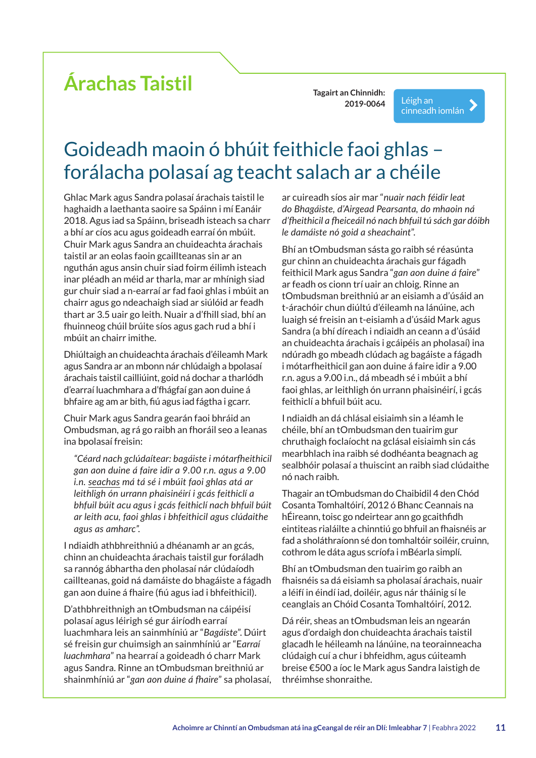**Tagairt an Chinnidh: 2019-0064** Léigh an

### <span id="page-11-0"></span>Goideadh maoin ó bhúit feithicle faoi ghlas – forálacha polasaí ag teacht salach ar a chéile

Ghlac Mark agus Sandra polasaí árachais taistil le haghaidh a laethanta saoire sa Spáinn i mí Eanáir 2018. Agus iad sa Spáinn, briseadh isteach sa charr a bhí ar cíos acu agus goideadh earraí ón mbúit. Chuir Mark agus Sandra an chuideachta árachais taistil ar an eolas faoin gcaillteanas sin ar an nguthán agus ansin chuir siad foirm éilimh isteach inar pléadh an méid ar tharla, mar ar mhínigh siad gur chuir siad a n-earraí ar fad faoi ghlas i mbúit an chairr agus go ndeachaigh siad ar siúlóid ar feadh thart ar 3.5 uair go leith. Nuair a d'fhill siad, bhí an fhuinneog chúil brúite síos agus gach rud a bhí i mbúit an chairr imithe.

Dhiúltaigh an chuideachta árachais d'éileamh Mark agus Sandra ar an mbonn nár chlúdaigh a bpolasaí árachais taistil cailliúint, goid ná dochar a tharlódh d'earraí luachmhara a d'fhágfaí gan aon duine á bhfaire ag am ar bith, fiú agus iad fágtha i gcarr.

Chuir Mark agus Sandra gearán faoi bhráid an Ombudsman, ag rá go raibh an fhoráil seo a leanas ina bpolasaí freisin:

*"Céard nach gclúdaítear: bagáiste i mótarfheithicil gan aon duine á faire idir a 9.00 r.n. agus a 9.00 i.n. seachas má tá sé i mbúit faoi ghlas atá ar leithligh ón urrann phaisinéirí i gcás feithiclí a bhfuil búit acu agus i gcás feithiclí nach bhfuil búit ar leith acu, faoi ghlas i bhfeithicil agus clúdaithe agus as amharc".*

I ndiaidh athbhreithniú a dhéanamh ar an gcás, chinn an chuideachta árachais taistil gur foráladh sa rannóg ábhartha den pholasaí nár clúdaíodh caillteanas, goid ná damáiste do bhagáiste a fágadh gan aon duine á fhaire (fiú agus iad i bhfeithicil).

D'athbhreithnigh an tOmbudsman na cáipéisí polasaí agus léirigh sé gur áiríodh earraí luachmhara leis an sainmhíniú ar "*Bagáiste*". Dúirt sé freisin gur chuimsigh an sainmhíniú ar "E*arraí luachmhara*" na hearraí a goideadh ó charr Mark agus Sandra. Rinne an tOmbudsman breithniú ar shainmhíniú ar "*gan aon duine á fhaire*" sa pholasaí, ar cuireadh síos air mar "*nuair nach féidir leat do Bhagáiste, d'Airgead Pearsanta, do mhaoin ná d'fheithicil a fheiceáil nó nach bhfuil tú sách gar dóibh le damáiste nó goid a sheachaint*".

[cinneadh iomlán](https://www.fspo.ie/decisions/documents/2019-0064.pdf) 

Bhí an tOmbudsman sásta go raibh sé réasúnta gur chinn an chuideachta árachais gur fágadh feithicil Mark agus Sandra "*gan aon duine á faire*" ar feadh os cionn trí uair an chloig. Rinne an tOmbudsman breithniú ar an eisiamh a d'úsáid an t-árachóir chun diúltú d'éileamh na lánúine, ach luaigh sé freisin an t-eisiamh a d'úsáid Mark agus Sandra (a bhí díreach i ndiaidh an ceann a d'úsáid an chuideachta árachais i gcáipéis an pholasaí) ina ndúradh go mbeadh clúdach ag bagáiste a fágadh i mótarfheithicil gan aon duine á faire idir a 9.00 r.n. agus a 9.00 i.n., dá mbeadh sé i mbúit a bhí faoi ghlas, ar leithligh ón urrann phaisinéirí, i gcás feithiclí a bhfuil búit acu.

I ndiaidh an dá chlásal eisiaimh sin a léamh le chéile, bhí an tOmbudsman den tuairim gur chruthaigh foclaíocht na gclásal eisiaimh sin cás mearbhlach ina raibh sé dodhéanta beagnach ag sealbhóir polasaí a thuiscint an raibh siad clúdaithe nó nach raibh.

Thagair an tOmbudsman do Chaibidil 4 den Chód Cosanta Tomhaltóirí, 2012 ó Bhanc Ceannais na hÉireann, toisc go ndeirtear ann go gcaithfidh eintiteas rialáilte a chinntiú go bhfuil an fhaisnéis ar fad a sholáthraíonn sé don tomhaltóir soiléir, cruinn, cothrom le dáta agus scríofa i mBéarla simplí.

Bhí an tOmbudsman den tuairim go raibh an fhaisnéis sa dá eisiamh sa pholasaí árachais, nuair a léifí in éindí iad, doiléir, agus nár tháinig sí le ceanglais an Chóid Cosanta Tomhaltóirí, 2012.

Dá réir, sheas an tOmbudsman leis an ngearán agus d'ordaigh don chuideachta árachais taistil glacadh le héileamh na lánúine, na teorainneacha clúdaigh cuí a chur i bhfeidhm, agus cúiteamh breise €500 a íoc le Mark agus Sandra laistigh de thréimhse shonraithe.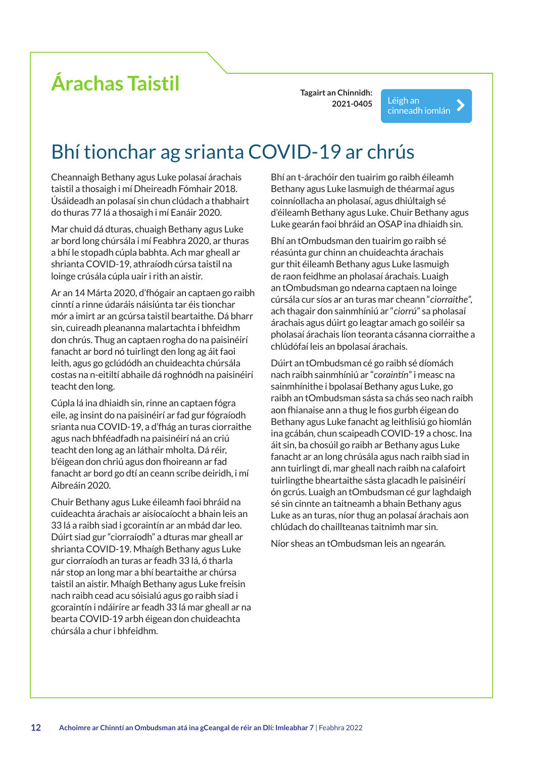**Tagairt an Chinnidh: 2021-0405** Léigh an



### <span id="page-12-0"></span>Bhí tionchar ag srianta COVID-19 ar chrús

Cheannaigh Bethany agus Luke polasaí árachais taistil a thosaigh i mí Dheireadh Fómhair 2018. Úsáideadh an polasaí sin chun clúdach a thabhairt do thuras 77 lá a thosaigh i mí Eanáir 2020.

Mar chuid dá dturas, chuaigh Bethany agus Luke ar bord long chúrsála i mí Feabhra 2020, ar thuras a bhí le stopadh cúpla babhta. Ach mar gheall ar shrianta COVID-19, athraíodh cúrsa taistil na loinge crúsála cúpla uair i rith an aistir.

Ar an 14 Márta 2020, d'fhógair an captaen go raibh cinntí a rinne údaráis náisiúnta tar éis tionchar mór a imirt ar an gcúrsa taistil beartaithe. Dá bharr sin, cuireadh pleananna malartachta i bhfeidhm don chrús. Thug an captaen rogha do na paisinéirí fanacht ar bord nó tuirlingt den long ag áit faoi leith, agus go gclúdódh an chuideachta chúrsála costas na n-eitiltí abhaile dá roghnódh na paisinéirí teacht den long.

Cúpla lá ina dhiaidh sin, rinne an captaen fógra eile, ag insint do na paisinéirí ar fad gur fógraíodh srianta nua COVID-19, a d'fhág an turas ciorraithe agus nach bhféadfadh na paisinéirí ná an criú teacht den long ag an láthair mholta. Dá réir, b'éigean don chriú agus don fhoireann ar fad fanacht ar bord go dtí an ceann scríbe deiridh, i mí Aibreáin 2020.

Chuir Bethany agus Luke éileamh faoi bhráid na cuideachta árachais ar aisíocaíocht a bhain leis an 33 lá a raibh siad i gcoraintín ar an mbád dar leo. Dúirt siad gur "ciorraíodh" a dturas mar gheall ar shrianta COVID-19. Mhaígh Bethany agus Luke gur ciorraíodh an turas ar feadh 33 lá, ó tharla nár stop an long mar a bhí beartaithe ar chúrsa taistil an aistir. Mhaígh Bethany agus Luke freisin nach raibh cead acu sóisialú agus go raibh siad i gcoraintín i ndáiríre ar feadh 33 lá mar gheall ar na bearta COVID-19 arbh éigean don chuideachta chúrsála a chur i bhfeidhm.

Bhí an t-árachóir den tuairim go raibh éileamh Bethany agus Luke lasmuigh de théarmaí agus coinníollacha an pholasaí, agus dhiúltaigh sé d'éileamh Bethany agus Luke. Chuir Bethany agus Luke gearán faoi bhráid an OSAP ina dhiaidh sin.

Bhí an tOmbudsman den tuairim go raibh sé réasúnta gur chinn an chuideachta árachais gur thit éileamh Bethany agus Luke lasmuigh de raon feidhme an pholasaí árachais. Luaigh an tOmbudsman go ndearna captaen na loinge cúrsála cur síos ar an turas mar cheann "*ciorraithe*", ach thagair don sainmhíniú ar "*ciorrú*" sa pholasaí árachais agus dúirt go leagtar amach go soiléir sa pholasaí árachais líon teoranta cásanna ciorraithe a chlúdófaí leis an bpolasaí árachais.

Dúirt an tOmbudsman cé go raibh sé díomách nach raibh sainmhíniú ar "*coraintín*" i measc na sainmhínithe i bpolasaí Bethany agus Luke, go raibh an tOmbudsman sásta sa chás seo nach raibh aon fhianaise ann a thug le fios gurbh éigean do Bethany agus Luke fanacht ag leithlisiú go hiomlán ina gcábán, chun scaipeadh COVID-19 a chosc. Ina áit sin, ba chosúil go raibh ar Bethany agus Luke fanacht ar an long chrúsála agus nach raibh siad in ann tuirlingt di, mar gheall nach raibh na calafoirt tuirlingthe bheartaithe sásta glacadh le paisinéirí ón gcrús. Luaigh an tOmbudsman cé gur laghdaigh sé sin cinnte an taitneamh a bhain Bethany agus Luke as an turas, níor thug an polasaí árachais aon chlúdach do chaillteanas taitnimh mar sin.

Níor sheas an tOmbudsman leis an ngearán.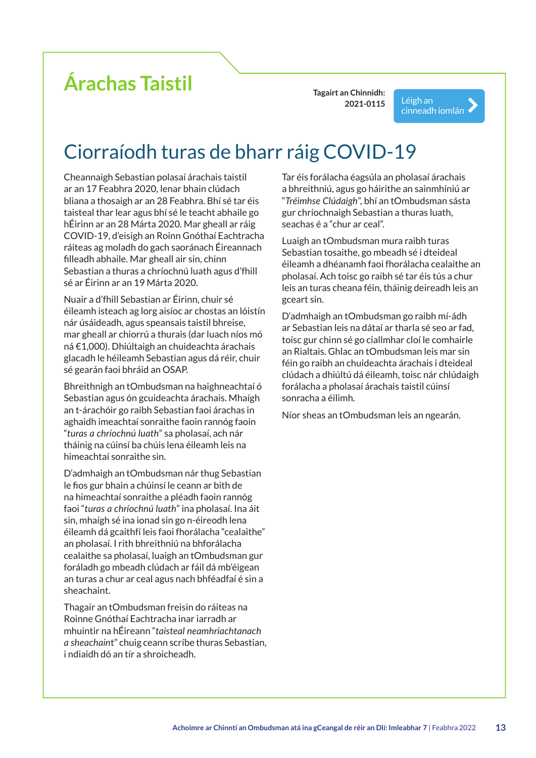**Tagairt an Chinnidh: 2021-0115** Léigh an



### <span id="page-13-0"></span>Ciorraíodh turas de bharr ráig COVID-19

Cheannaigh Sebastian polasaí árachais taistil ar an 17 Feabhra 2020, lenar bhain clúdach bliana a thosaigh ar an 28 Feabhra. Bhí sé tar éis taisteal thar lear agus bhí sé le teacht abhaile go hÉirinn ar an 28 Márta 2020. Mar gheall ar ráig COVID-19, d'eisigh an Roinn Gnóthaí Eachtracha ráiteas ag moladh do gach saoránach Éireannach filleadh abhaile. Mar gheall air sin, chinn Sebastian a thuras a chríochnú luath agus d'fhill sé ar Éirinn ar an 19 Márta 2020.

Nuair a d'fhill Sebastian ar Éirinn, chuir sé éileamh isteach ag lorg aisíoc ar chostas an lóistín nár úsáideadh, agus speansais taistil bhreise, mar gheall ar chiorrú a thurais (dar luach níos mó ná €1,000). Dhiúltaigh an chuideachta árachais glacadh le héileamh Sebastian agus dá réir, chuir sé gearán faoi bhráid an OSAP.

Bhreithnigh an tOmbudsman na haighneachtaí ó Sebastian agus ón gcuideachta árachais. Mhaígh an t-árachóir go raibh Sebastian faoi árachas in aghaidh imeachtaí sonraithe faoin rannóg faoin "*turas a chríochnú luath*" sa pholasaí, ach nár tháinig na cúinsí ba chúis lena éileamh leis na himeachtaí sonraithe sin.

D'admhaigh an tOmbudsman nár thug Sebastian le fios gur bhain a chúinsí le ceann ar bith de na himeachtaí sonraithe a pléadh faoin rannóg faoi "*turas a chríochnú luath*" ina pholasaí. Ina áit sin, mhaígh sé ina ionad sin go n-éireodh lena éileamh dá gcaithfí leis faoi fhorálacha "cealaithe" an pholasaí. I rith bhreithniú na bhforálacha cealaithe sa pholasaí, luaigh an tOmbudsman gur foráladh go mbeadh clúdach ar fáil dá mb'éigean an turas a chur ar ceal agus nach bhféadfaí é sin a sheachaint.

Thagair an tOmbudsman freisin do ráiteas na Roinne Gnóthaí Eachtracha inar iarradh ar mhuintir na hÉireann "*taisteal neamhriachtanach a sheachain*t" chuig ceann scríbe thuras Sebastian, i ndiaidh dó an tír a shroicheadh.

Tar éis forálacha éagsúla an pholasaí árachais a bhreithniú, agus go háirithe an sainmhíniú ar "*Tréimhse Clúdaigh*", bhí an tOmbudsman sásta gur chríochnaigh Sebastian a thuras luath, seachas é a "chur ar ceal".

Luaigh an tOmbudsman mura raibh turas Sebastian tosaithe, go mbeadh sé i dteideal éileamh a dhéanamh faoi fhorálacha cealaithe an pholasaí. Ach toisc go raibh sé tar éis tús a chur leis an turas cheana féin, tháinig deireadh leis an gceart sin.

D'admhaigh an tOmbudsman go raibh mí-ádh ar Sebastian leis na dátaí ar tharla sé seo ar fad, toisc gur chinn sé go ciallmhar cloí le comhairle an Rialtais. Ghlac an tOmbudsman leis mar sin féin go raibh an chuideachta árachais i dteideal clúdach a dhiúltú dá éileamh, toisc nár chlúdaigh forálacha a pholasaí árachais taistil cúinsí sonracha a éilimh.

Níor sheas an tOmbudsman leis an ngearán.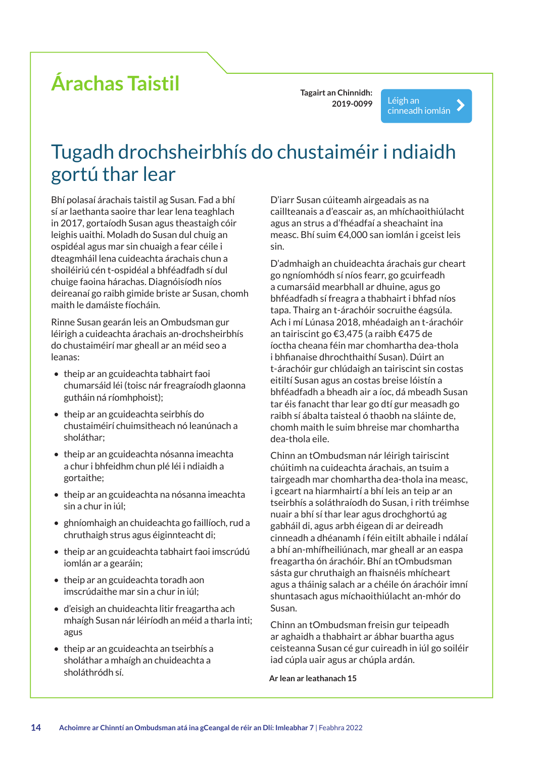**Tagairt an Chinnidh: 2019-0099** 



### <span id="page-14-0"></span>Tugadh drochsheirbhís do chustaiméir i ndiaidh gortú thar lear

Bhí polasaí árachais taistil ag Susan. Fad a bhí sí ar laethanta saoire thar lear lena teaghlach in 2017, gortaíodh Susan agus theastaigh cóir leighis uaithi. Moladh do Susan dul chuig an ospidéal agus mar sin chuaigh a fear céile i dteagmháil lena cuideachta árachais chun a shoiléiriú cén t-ospidéal a bhféadfadh sí dul chuige faoina hárachas. Diagnóisíodh níos deireanaí go raibh gimide briste ar Susan, chomh maith le damáiste fíocháin.

Rinne Susan gearán leis an Ombudsman gur léirigh a cuideachta árachais an-drochsheirbhís do chustaiméirí mar gheall ar an méid seo a leanas:

- theip ar an gcuideachta tabhairt faoi chumarsáid léi (toisc nár freagraíodh glaonna gutháin ná ríomhphoist);
- theip ar an gcuideachta seirbhís do chustaiméirí chuimsitheach nó leanúnach a sholáthar;
- theip ar an gcuideachta nósanna imeachta a chur i bhfeidhm chun plé léi i ndiaidh a gortaithe;
- theip ar an gcuideachta na nósanna imeachta sin a chur in iúl;
- ghníomhaigh an chuideachta go faillíoch, rud a chruthaigh strus agus éiginnteacht di;
- theip ar an gcuideachta tabhairt faoi imscrúdú iomlán ar a gearáin;
- theip ar an gcuideachta toradh aon imscrúdaithe mar sin a chur in iúl;
- d'eisigh an chuideachta litir freagartha ach mhaígh Susan nár léiríodh an méid a tharla inti; agus
- theip ar an gcuideachta an tseirbhís a sholáthar a mhaígh an chuideachta a sholáthródh sí.

D'iarr Susan cúiteamh airgeadais as na caillteanais a d'eascair as, an mhíchaoithiúlacht agus an strus a d'fhéadfaí a sheachaint ina measc. Bhí suim €4,000 san iomlán i gceist leis sin.

D'admhaigh an chuideachta árachais gur cheart go ngníomhódh sí níos fearr, go gcuirfeadh a cumarsáid mearbhall ar dhuine, agus go bhféadfadh sí freagra a thabhairt i bhfad níos tapa. Thairg an t-árachóir socruithe éagsúla. Ach i mí Lúnasa 2018, mhéadaigh an t-árachóir an tairiscint go €3,475 (a raibh €475 de íoctha cheana féin mar chomhartha dea-thola i bhfianaise dhrochthaithí Susan). Dúirt an t-árachóir gur chlúdaigh an tairiscint sin costas eitiltí Susan agus an costas breise lóistín a bhféadfadh a bheadh air a íoc, dá mbeadh Susan tar éis fanacht thar lear go dtí gur measadh go raibh sí ábalta taisteal ó thaobh na sláinte de, chomh maith le suim bhreise mar chomhartha dea-thola eile.

Chinn an tOmbudsman nár léirigh tairiscint chúitimh na cuideachta árachais, an tsuim a tairgeadh mar chomhartha dea-thola ina measc, i gceart na hiarmhairtí a bhí leis an teip ar an tseirbhís a soláthraíodh do Susan, i rith tréimhse nuair a bhí sí thar lear agus drochghortú ag gabháil di, agus arbh éigean di ar deireadh cinneadh a dhéanamh í féin eitilt abhaile i ndálaí a bhí an-mhífheiliúnach, mar gheall ar an easpa freagartha ón árachóir. Bhí an tOmbudsman sásta gur chruthaigh an fhaisnéis mhícheart agus a tháinig salach ar a chéile ón árachóir imní shuntasach agus míchaoithiúlacht an-mhór do Susan.

Chinn an tOmbudsman freisin gur teipeadh ar aghaidh a thabhairt ar ábhar buartha agus ceisteanna Susan cé gur cuireadh in iúl go soiléir iad cúpla uair agus ar chúpla ardán.

**Ar lean ar leathanach 15**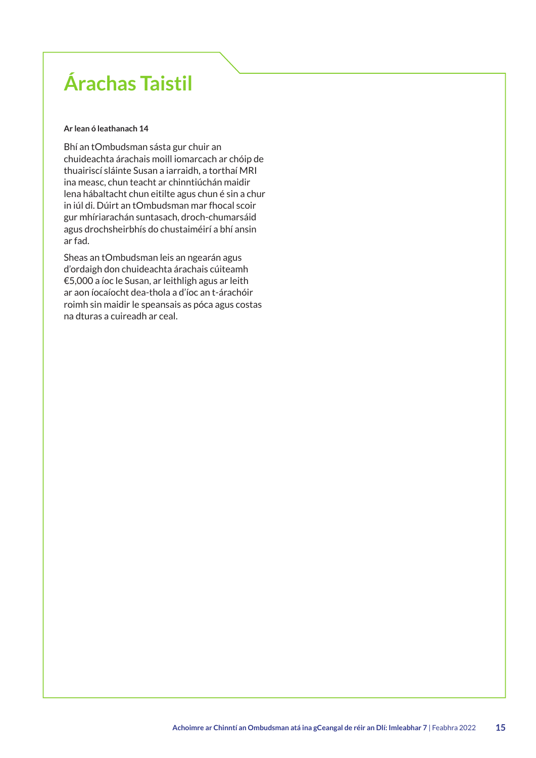#### **Ar lean ó leathanach 14**

Bhí an tOmbudsman sásta gur chuir an chuideachta árachais moill iomarcach ar chóip de thuairiscí sláinte Susan a iarraidh, a torthaí MRI ina measc, chun teacht ar chinntiúchán maidir lena hábaltacht chun eitilte agus chun é sin a chur in iúl di. Dúirt an tOmbudsman mar fhocal scoir gur mhíriarachán suntasach, droch-chumarsáid agus drochsheirbhís do chustaiméirí a bhí ansin ar fad.

Sheas an tOmbudsman leis an ngearán agus d'ordaigh don chuideachta árachais cúiteamh €5,000 a íoc le Susan, ar leithligh agus ar leith ar aon íocaíocht dea-thola a d'íoc an t-árachóir roimh sin maidir le speansais as póca agus costas na dturas a cuireadh ar ceal.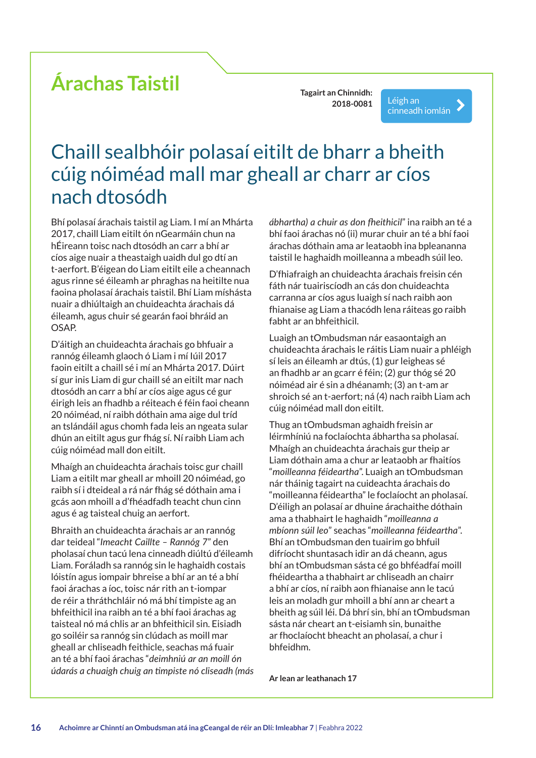**2018-0081**

#### Léigh an [cinneadh iomlán](https://www.fspo.ie/decisions/documents/2018-0081.pdf)

### <span id="page-16-0"></span>Chaill sealbhóir polasaí eitilt de bharr a bheith cúig nóiméad mall mar gheall ar charr ar cíos nach dtosódh

Bhí polasaí árachais taistil ag Liam. I mí an Mhárta 2017, chaill Liam eitilt ón nGearmáin chun na hÉireann toisc nach dtosódh an carr a bhí ar cíos aige nuair a theastaigh uaidh dul go dtí an t-aerfort. B'éigean do Liam eitilt eile a cheannach agus rinne sé éileamh ar phraghas na heitilte nua faoina pholasaí árachais taistil. Bhí Liam míshásta nuair a dhiúltaigh an chuideachta árachais dá éileamh, agus chuir sé gearán faoi bhráid an OSAP.

D'áitigh an chuideachta árachais go bhfuair a rannóg éileamh glaoch ó Liam i mí Iúil 2017 faoin eitilt a chaill sé i mí an Mhárta 2017. Dúirt sí gur inis Liam di gur chaill sé an eitilt mar nach dtosódh an carr a bhí ar cíos aige agus cé gur éirigh leis an fhadhb a réiteach é féin faoi cheann 20 nóiméad, ní raibh dóthain ama aige dul tríd an tslándáil agus chomh fada leis an ngeata sular dhún an eitilt agus gur fhág sí. Ní raibh Liam ach cúig nóiméad mall don eitilt.

Mhaígh an chuideachta árachais toisc gur chaill Liam a eitilt mar gheall ar mhoill 20 nóiméad, go raibh sí i dteideal a rá nár fhág sé dóthain ama i gcás aon mhoill a d'fhéadfadh teacht chun cinn agus é ag taisteal chuig an aerfort.

Bhraith an chuideachta árachais ar an rannóg dar teideal "*Imeacht Caillte – Rannóg 7*" den pholasaí chun tacú lena cinneadh diúltú d'éileamh Liam. Foráladh sa rannóg sin le haghaidh costais lóistín agus iompair bhreise a bhí ar an té a bhí faoi árachas a íoc, toisc nár rith an t-iompar de réir a thráthchláir nó má bhí timpiste ag an bhfeithicil ina raibh an té a bhí faoi árachas ag taisteal nó má chlis ar an bhfeithicil sin. Eisiadh go soiléir sa rannóg sin clúdach as moill mar gheall ar chliseadh feithicle, seachas má fuair an té a bhí faoi árachas "*deimhniú ar an moill ón údarás a chuaigh chuig an timpiste nó cliseadh (más*  *ábhartha) a chuir as don fheithicil*" ina raibh an té a bhí faoi árachas nó (ii) murar chuir an té a bhí faoi árachas dóthain ama ar leataobh ina bpleananna taistil le haghaidh moilleanna a mbeadh súil leo.

D'fhiafraigh an chuideachta árachais freisin cén fáth nár tuairiscíodh an cás don chuideachta carranna ar cíos agus luaigh sí nach raibh aon fhianaise ag Liam a thacódh lena ráiteas go raibh fabht ar an bhfeithicil.

Luaigh an tOmbudsman nár easaontaigh an chuideachta árachais le ráitis Liam nuair a phléigh sí leis an éileamh ar dtús, (1) gur leigheas sé an fhadhb ar an gcarr é féin; (2) gur thóg sé 20 nóiméad air é sin a dhéanamh; (3) an t-am ar shroich sé an t-aerfort; ná (4) nach raibh Liam ach cúig nóiméad mall don eitilt.

Thug an tOmbudsman aghaidh freisin ar léirmhíniú na foclaíochta ábhartha sa pholasaí. Mhaígh an chuideachta árachais gur theip ar Liam dóthain ama a chur ar leataobh ar fhaitíos "*moilleanna féideartha*". Luaigh an tOmbudsman nár tháinig tagairt na cuideachta árachais do "moilleanna féideartha" le foclaíocht an pholasaí. D'éiligh an polasaí ar dhuine árachaithe dóthain ama a thabhairt le haghaidh "*moilleanna a mbíonn súil leo*" seachas "*moilleanna féideartha*". Bhí an tOmbudsman den tuairim go bhfuil difríocht shuntasach idir an dá cheann, agus bhí an tOmbudsman sásta cé go bhféadfaí moill fhéideartha a thabhairt ar chliseadh an chairr a bhí ar cíos, ní raibh aon fhianaise ann le tacú leis an moladh gur mhoill a bhí ann ar cheart a bheith ag súil léi. Dá bhrí sin, bhí an tOmbudsman sásta nár cheart an t-eisiamh sin, bunaithe ar fhoclaíocht bheacht an pholasaí, a chur i bhfeidhm.

**Ar lean ar leathanach 17**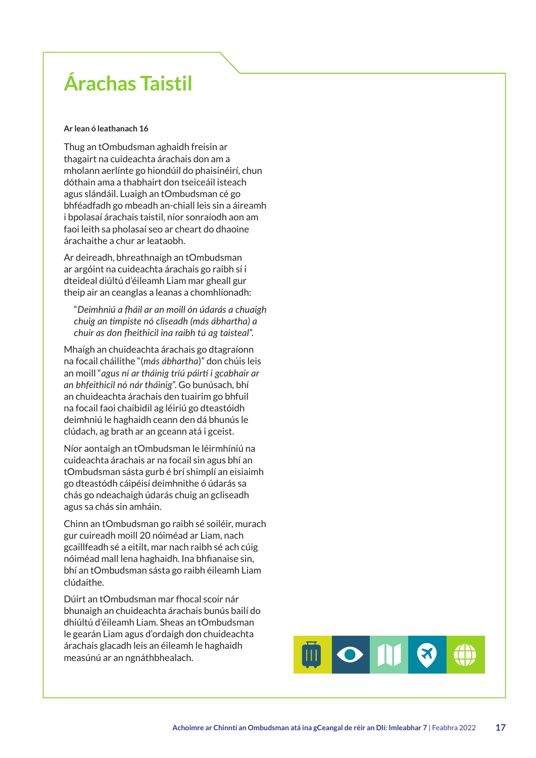#### **Ar lean ó leathanach 16**

Thug an tOmbudsman aghaidh freisin ar thagairt na cuideachta árachais don am a mholann aerlínte go hiondúil do phaisinéirí, chun dóthain ama a thabhairt don tseiceáil isteach agus slándáil. Luaigh an tOmbudsman cé go bhféadfadh go mbeadh an-chiall leis sin a áireamh i bpolasaí árachais taistil, níor sonraíodh aon am faoi leith sa pholasaí seo ar cheart do dhaoine árachaithe a chur ar leataobh.

Ar deireadh, bhreathnaigh an tOmbudsman ar argóint na cuideachta árachais go raibh sí i dteideal diúltú d'éileamh Liam mar gheall gur theip air an ceanglas a leanas a chomhlíonadh:

"*Deimhniú a fháil ar an moill ón údarás a chuaigh chuig an timpiste nó cliseadh (más ábhartha) a chuir as don fheithicil ina raibh tú ag taisteal*".

Mhaígh an chuideachta árachais go dtagraíonn na focail cháilithe "(*más ábhartha*)" don chúis leis an moill "*agus ní ar tháinig tríú páirtí i gcabhair ar an bhfeithicil nó nár tháinig*". Go bunúsach, bhí an chuideachta árachais den tuairim go bhfuil na focail faoi chaibidil ag léiriú go dteastóidh deimhniú le haghaidh ceann den dá bhunús le clúdach, ag brath ar an gceann atá i gceist.

Níor aontaigh an tOmbudsman le léirmhíniú na cuideachta árachais ar na focail sin agus bhí an tOmbudsman sásta gurb é brí shimplí an eisiaimh go dteastódh cáipéisí deimhnithe ó údarás sa chás go ndeachaigh údarás chuig an gcliseadh agus sa chás sin amháin.

Chinn an tOmbudsman go raibh sé soiléir, murach gur cuireadh moill 20 nóiméad ar Liam, nach gcaillfeadh sé a eitilt, mar nach raibh sé ach cúig nóiméad mall lena haghaidh. Ina bhfianaise sin, bhí an tOmbudsman sásta go raibh éileamh Liam clúdaithe.

Dúirt an tOmbudsman mar fhocal scoir nár bhunaigh an chuideachta árachais bunús bailí do dhiúltú d'éileamh Liam. Sheas an tOmbudsman le gearán Liam agus d'ordaigh don chuideachta árachais glacadh leis an éileamh le haghaidh measúnú ar an ngnáthbhealach.

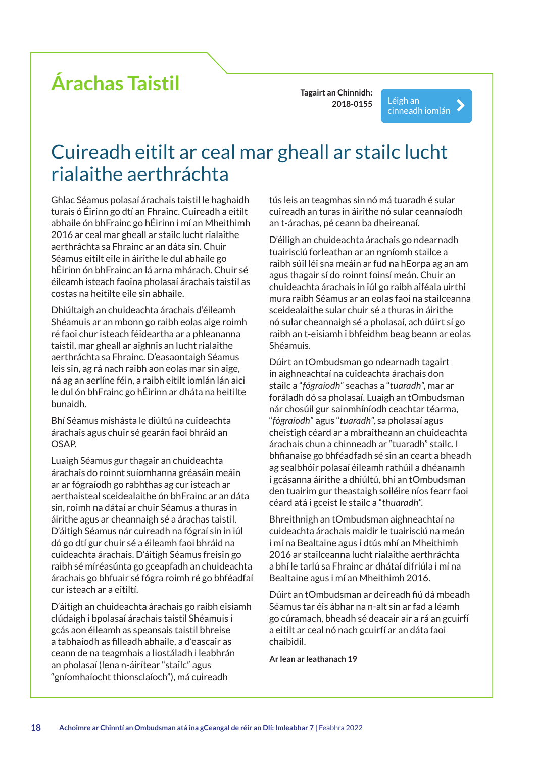**Tagairt an Chinnidh: 2018-0155** Léigh an



### <span id="page-18-0"></span>Cuireadh eitilt ar ceal mar gheall ar stailc lucht rialaithe aerthráchta

Ghlac Séamus polasaí árachais taistil le haghaidh turais ó Éirinn go dtí an Fhrainc. Cuireadh a eitilt abhaile ón bhFrainc go hÉirinn i mí an Mheithimh 2016 ar ceal mar gheall ar stailc lucht rialaithe aerthráchta sa Fhrainc ar an dáta sin. Chuir Séamus eitilt eile in áirithe le dul abhaile go hÉirinn ón bhFrainc an lá arna mhárach. Chuir sé éileamh isteach faoina pholasaí árachais taistil as costas na heitilte eile sin abhaile.

Dhiúltaigh an chuideachta árachais d'éileamh Shéamuis ar an mbonn go raibh eolas aige roimh ré faoi chur isteach féideartha ar a phleananna taistil, mar gheall ar aighnis an lucht rialaithe aerthráchta sa Fhrainc. D'easaontaigh Séamus leis sin, ag rá nach raibh aon eolas mar sin aige, ná ag an aerlíne féin, a raibh eitilt iomlán lán aici le dul ón bhFrainc go hÉirinn ar dháta na heitilte bunaidh.

Bhí Séamus míshásta le diúltú na cuideachta árachais agus chuir sé gearán faoi bhráid an OSAP.

Luaigh Séamus gur thagair an chuideachta árachais do roinnt suíomhanna gréasáin meáin ar ar fógraíodh go rabhthas ag cur isteach ar aerthaisteal sceidealaithe ón bhFrainc ar an dáta sin, roimh na dátaí ar chuir Séamus a thuras in áirithe agus ar cheannaigh sé a árachas taistil. D'áitigh Séamus nár cuireadh na fógraí sin in iúl dó go dtí gur chuir sé a éileamh faoi bhráid na cuideachta árachais. D'áitigh Séamus freisin go raibh sé míréasúnta go gceapfadh an chuideachta árachais go bhfuair sé fógra roimh ré go bhféadfaí cur isteach ar a eitiltí.

D'áitigh an chuideachta árachais go raibh eisiamh clúdaigh i bpolasaí árachais taistil Shéamuis i gcás aon éileamh as speansais taistil bhreise a tabhaíodh as filleadh abhaile, a d'eascair as ceann de na teagmhais a liostáladh i leabhrán an pholasaí (lena n-áirítear "stailc" agus "gníomhaíocht thionsclaíoch"), má cuireadh

tús leis an teagmhas sin nó má tuaradh é sular cuireadh an turas in áirithe nó sular ceannaíodh an t-árachas, pé ceann ba dheireanaí.

D'éiligh an chuideachta árachais go ndearnadh tuairisciú forleathan ar an ngníomh stailce a raibh súil léi sna meáin ar fud na hEorpa ag an am agus thagair sí do roinnt foinsí meán. Chuir an chuideachta árachais in iúl go raibh aiféala uirthi mura raibh Séamus ar an eolas faoi na stailceanna sceidealaithe sular chuir sé a thuras in áirithe nó sular cheannaigh sé a pholasaí, ach dúirt sí go raibh an t-eisiamh i bhfeidhm beag beann ar eolas Shéamuis.

Dúirt an tOmbudsman go ndearnadh tagairt in aighneachtaí na cuideachta árachais don stailc a "*fógraíodh*" seachas a "*tuaradh*", mar ar foráladh dó sa pholasaí. Luaigh an tOmbudsman nár chosúil gur sainmhíníodh ceachtar téarma, "*fógraíodh*" agus "*tuaradh*", sa pholasaí agus cheistigh céard ar a mbraitheann an chuideachta árachais chun a chinneadh ar "tuaradh" stailc. I bhfianaise go bhféadfadh sé sin an ceart a bheadh ag sealbhóir polasaí éileamh rathúil a dhéanamh i gcásanna áirithe a dhiúltú, bhí an tOmbudsman den tuairim gur theastaigh soiléire níos fearr faoi céard atá i gceist le stailc a "*thuaradh*".

Bhreithnigh an tOmbudsman aighneachtaí na cuideachta árachais maidir le tuairisciú na meán i mí na Bealtaine agus i dtús mhí an Mheithimh 2016 ar stailceanna lucht rialaithe aerthráchta a bhí le tarlú sa Fhrainc ar dhátaí difriúla i mí na Bealtaine agus i mí an Mheithimh 2016.

Dúirt an tOmbudsman ar deireadh fiú dá mbeadh Séamus tar éis ábhar na n-alt sin ar fad a léamh go cúramach, bheadh sé deacair air a rá an gcuirfí a eitilt ar ceal nó nach gcuirfí ar an dáta faoi chaibidil.

**Ar lean ar leathanach 19**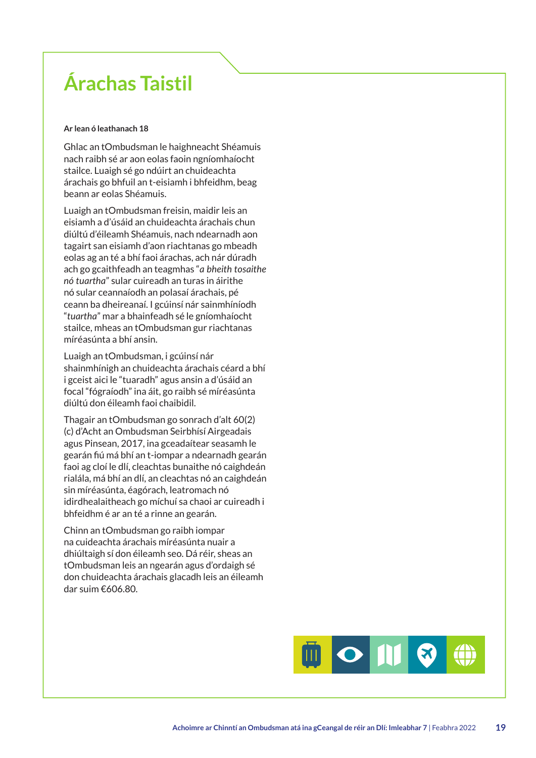#### **Ar lean ó leathanach 18**

Ghlac an tOmbudsman le haighneacht Shéamuis nach raibh sé ar aon eolas faoin ngníomhaíocht stailce. Luaigh sé go ndúirt an chuideachta árachais go bhfuil an t-eisiamh i bhfeidhm, beag beann ar eolas Shéamuis.

Luaigh an tOmbudsman freisin, maidir leis an eisiamh a d'úsáid an chuideachta árachais chun diúltú d'éileamh Shéamuis, nach ndearnadh aon tagairt san eisiamh d'aon riachtanas go mbeadh eolas ag an té a bhí faoi árachas, ach nár dúradh ach go gcaithfeadh an teagmhas "*a bheith tosaithe nó tuartha*" sular cuireadh an turas in áirithe nó sular ceannaíodh an polasaí árachais, pé ceann ba dheireanaí. I gcúinsí nár sainmhíníodh "*tuartha*" mar a bhainfeadh sé le gníomhaíocht stailce, mheas an tOmbudsman gur riachtanas míréasúnta a bhí ansin.

Luaigh an tOmbudsman, i gcúinsí nár shainmhínigh an chuideachta árachais céard a bhí i gceist aici le "tuaradh" agus ansin a d'úsáid an focal "fógraíodh" ina áit, go raibh sé míréasúnta diúltú don éileamh faoi chaibidil.

Thagair an tOmbudsman go sonrach d'alt 60(2) (c) d'Acht an Ombudsman Seirbhísí Airgeadais agus Pinsean, 2017, ina gceadaítear seasamh le gearán fiú má bhí an t-iompar a ndearnadh gearán faoi ag cloí le dlí, cleachtas bunaithe nó caighdeán rialála, má bhí an dlí, an cleachtas nó an caighdeán sin míréasúnta, éagórach, leatromach nó idirdhealaitheach go míchuí sa chaoi ar cuireadh i bhfeidhm é ar an té a rinne an gearán.

Chinn an tOmbudsman go raibh iompar na cuideachta árachais míréasúnta nuair a dhiúltaigh sí don éileamh seo. Dá réir, sheas an tOmbudsman leis an ngearán agus d'ordaigh sé don chuideachta árachais glacadh leis an éileamh dar suim €606.80.

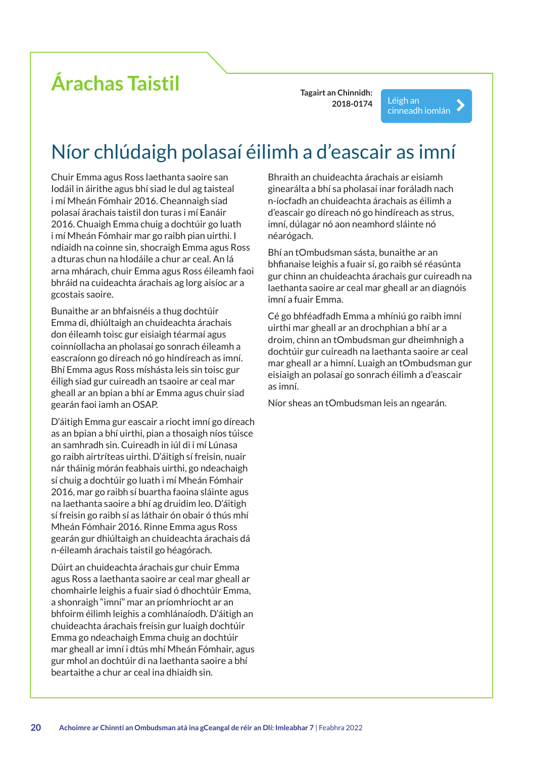**2018-0174**

#### Léigh an [cinneadh iomlán](https://www.fspo.ie/decisions/documents/2018-0174.pdf)

### <span id="page-20-0"></span>Níor chlúdaigh polasaí éilimh a d'eascair as imní

Chuir Emma agus Ross laethanta saoire san Iodáil in áirithe agus bhí siad le dul ag taisteal i mí Mheán Fómhair 2016. Cheannaigh siad polasaí árachais taistil don turas i mí Eanáir 2016. Chuaigh Emma chuig a dochtúir go luath i mí Mheán Fómhair mar go raibh pian uirthi. I ndiaidh na coinne sin, shocraigh Emma agus Ross a dturas chun na hIodáile a chur ar ceal. An lá arna mhárach, chuir Emma agus Ross éileamh faoi bhráid na cuideachta árachais ag lorg aisíoc ar a gcostais saoire.

Bunaithe ar an bhfaisnéis a thug dochtúir Emma di, dhiúltaigh an chuideachta árachais don éileamh toisc gur eisiaigh téarmaí agus coinníollacha an pholasaí go sonrach éileamh a eascraíonn go díreach nó go hindíreach as imní. Bhí Emma agus Ross míshásta leis sin toisc gur éiligh siad gur cuireadh an tsaoire ar ceal mar gheall ar an bpian a bhí ar Emma agus chuir siad gearán faoi iamh an OSAP.

D'áitigh Emma gur eascair a riocht imní go díreach as an bpian a bhí uirthi, pian a thosaigh níos túisce an samhradh sin. Cuireadh in iúl di i mí Lúnasa go raibh airtríteas uirthi. D'áitigh sí freisin, nuair nár tháinig mórán feabhais uirthi, go ndeachaigh sí chuig a dochtúir go luath i mí Mheán Fómhair 2016, mar go raibh sí buartha faoina sláinte agus na laethanta saoire a bhí ag druidim leo. D'áitigh sí freisin go raibh sí as láthair ón obair ó thús mhí Mheán Fómhair 2016. Rinne Emma agus Ross gearán gur dhiúltaigh an chuideachta árachais dá n-éileamh árachais taistil go héagórach.

Dúirt an chuideachta árachais gur chuir Emma agus Ross a laethanta saoire ar ceal mar gheall ar chomhairle leighis a fuair siad ó dhochtúir Emma, a shonraigh "imní" mar an príomhriocht ar an bhfoirm éilimh leighis a comhlánaíodh. D'áitigh an chuideachta árachais freisin gur luaigh dochtúir Emma go ndeachaigh Emma chuig an dochtúir mar gheall ar imní i dtús mhí Mheán Fómhair, agus gur mhol an dochtúir di na laethanta saoire a bhí beartaithe a chur ar ceal ina dhiaidh sin.

Bhraith an chuideachta árachais ar eisiamh ginearálta a bhí sa pholasaí inar foráladh nach n-íocfadh an chuideachta árachais as éilimh a d'eascair go díreach nó go hindíreach as strus, imní, dúlagar nó aon neamhord sláinte nó néarógach.

Bhí an tOmbudsman sásta, bunaithe ar an bhfianaise leighis a fuair sí, go raibh sé réasúnta gur chinn an chuideachta árachais gur cuireadh na laethanta saoire ar ceal mar gheall ar an diagnóis imní a fuair Emma.

Cé go bhféadfadh Emma a mhíniú go raibh imní uirthi mar gheall ar an drochphian a bhí ar a droim, chinn an tOmbudsman gur dheimhnigh a dochtúir gur cuireadh na laethanta saoire ar ceal mar gheall ar a himní. Luaigh an tOmbudsman gur eisiaigh an polasaí go sonrach éilimh a d'eascair as imní.

Níor sheas an tOmbudsman leis an ngearán.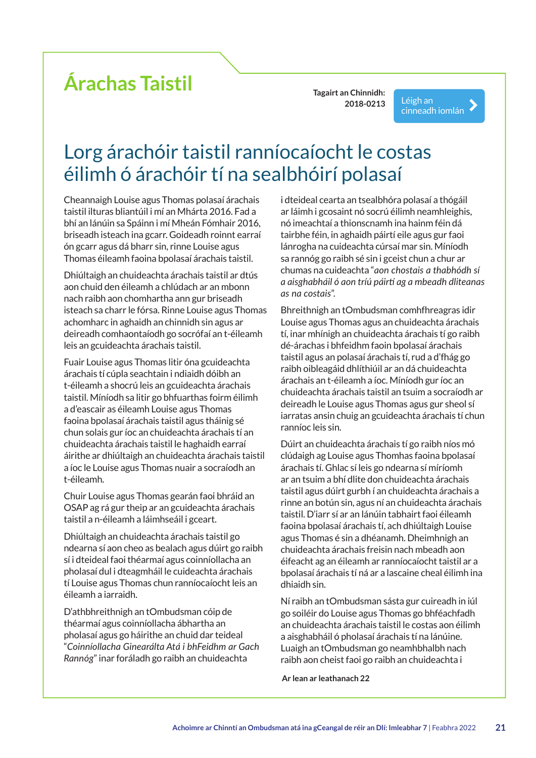**Tagairt an Chinnidh: 2018-0213**

#### Léigh an [cinneadh iomlán](https://www.fspo.ie/decisions/documents/2018-0213.pdf)

### <span id="page-21-0"></span>Lorg árachóir taistil ranníocaíocht le costas éilimh ó árachóir tí na sealbhóirí polasaí

Cheannaigh Louise agus Thomas polasaí árachais taistil ilturas bliantúil i mí an Mhárta 2016. Fad a bhí an lánúin sa Spáinn i mí Mheán Fómhair 2016, briseadh isteach ina gcarr. Goideadh roinnt earraí ón gcarr agus dá bharr sin, rinne Louise agus Thomas éileamh faoina bpolasaí árachais taistil.

Dhiúltaigh an chuideachta árachais taistil ar dtús aon chuid den éileamh a chlúdach ar an mbonn nach raibh aon chomhartha ann gur briseadh isteach sa charr le fórsa. Rinne Louise agus Thomas achomharc in aghaidh an chinnidh sin agus ar deireadh comhaontaíodh go socrófaí an t-éileamh leis an gcuideachta árachais taistil.

Fuair Louise agus Thomas litir óna gcuideachta árachais tí cúpla seachtain i ndiaidh dóibh an t-éileamh a shocrú leis an gcuideachta árachais taistil. Míníodh sa litir go bhfuarthas foirm éilimh a d'eascair as éileamh Louise agus Thomas faoina bpolasaí árachais taistil agus tháinig sé chun solais gur íoc an chuideachta árachais tí an chuideachta árachais taistil le haghaidh earraí áirithe ar dhiúltaigh an chuideachta árachais taistil a íoc le Louise agus Thomas nuair a socraíodh an t-éileamh.

Chuir Louise agus Thomas gearán faoi bhráid an OSAP ag rá gur theip ar an gcuideachta árachais taistil a n-éileamh a láimhseáil i gceart.

Dhiúltaigh an chuideachta árachais taistil go ndearna sí aon cheo as bealach agus dúirt go raibh sí i dteideal faoi théarmaí agus coinníollacha an pholasaí dul i dteagmháil le cuideachta árachais tí Louise agus Thomas chun ranníocaíocht leis an éileamh a iarraidh.

D'athbhreithnigh an tOmbudsman cóip de théarmaí agus coinníollacha ábhartha an pholasaí agus go háirithe an chuid dar teideal "*Coinníollacha Ginearálta Atá i bhFeidhm ar Gach Rannóg*" inar foráladh go raibh an chuideachta

i dteideal cearta an tsealbhóra polasaí a thógáil ar láimh i gcosaint nó socrú éilimh neamhleighis, nó imeachtaí a thionscnamh ina hainm féin dá tairbhe féin, in aghaidh páirtí eile agus gur faoi lánrogha na cuideachta cúrsaí mar sin. Míníodh sa rannóg go raibh sé sin i gceist chun a chur ar chumas na cuideachta "*aon chostais a thabhódh sí a aisghabháil ó aon tríú páirtí ag a mbeadh dliteanas as na costais*".

Bhreithnigh an tOmbudsman comhfhreagras idir Louise agus Thomas agus an chuideachta árachais tí, inar mhínigh an chuideachta árachais tí go raibh dé-árachas i bhfeidhm faoin bpolasaí árachais taistil agus an polasaí árachais tí, rud a d'fhág go raibh oibleagáid dhlíthiúil ar an dá chuideachta árachais an t-éileamh a íoc. Míníodh gur íoc an chuideachta árachais taistil an tsuim a socraíodh ar deireadh le Louise agus Thomas agus gur sheol sí iarratas ansin chuig an gcuideachta árachais tí chun ranníoc leis sin.

Dúirt an chuideachta árachais tí go raibh níos mó clúdaigh ag Louise agus Thomhas faoina bpolasaí árachais tí. Ghlac sí leis go ndearna sí míríomh ar an tsuim a bhí dlite don chuideachta árachais taistil agus dúirt gurbh í an chuideachta árachais a rinne an botún sin, agus ní an chuideachta árachais taistil. D'iarr sí ar an lánúin tabhairt faoi éileamh faoina bpolasaí árachais tí, ach dhiúltaigh Louise agus Thomas é sin a dhéanamh. Dheimhnigh an chuideachta árachais freisin nach mbeadh aon éifeacht ag an éileamh ar ranníocaíocht taistil ar a bpolasaí árachais tí ná ar a lascaine cheal éilimh ina dhiaidh sin.

Ní raibh an tOmbudsman sásta gur cuireadh in iúl go soiléir do Louise agus Thomas go bhféachfadh an chuideachta árachais taistil le costas aon éilimh a aisghabháil ó pholasaí árachais tí na lánúine. Luaigh an tOmbudsman go neamhbhalbh nach raibh aon cheist faoi go raibh an chuideachta i

**Ar lean ar leathanach 22**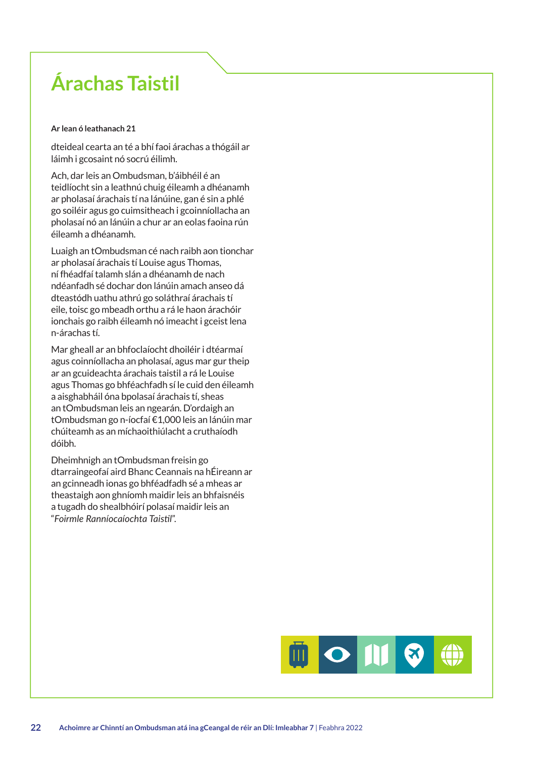#### **Ar lean ó leathanach 21**

dteideal cearta an té a bhí faoi árachas a thógáil ar láimh i gcosaint nó socrú éilimh.

Ach, dar leis an Ombudsman, b'áibhéil é an teidlíocht sin a leathnú chuig éileamh a dhéanamh ar pholasaí árachais tí na lánúine, gan é sin a phlé go soiléir agus go cuimsitheach i gcoinníollacha an pholasaí nó an lánúin a chur ar an eolas faoina rún éileamh a dhéanamh.

Luaigh an tOmbudsman cé nach raibh aon tionchar ar pholasaí árachais tí Louise agus Thomas, ní fhéadfaí talamh slán a dhéanamh de nach ndéanfadh sé dochar don lánúin amach anseo dá dteastódh uathu athrú go soláthraí árachais tí eile, toisc go mbeadh orthu a rá le haon árachóir ionchais go raibh éileamh nó imeacht i gceist lena n-árachas tí.

Mar gheall ar an bhfoclaíocht dhoiléir i dtéarmaí agus coinníollacha an pholasaí, agus mar gur theip ar an gcuideachta árachais taistil a rá le Louise agus Thomas go bhféachfadh sí le cuid den éileamh a aisghabháil óna bpolasaí árachais tí, sheas an tOmbudsman leis an ngearán. D'ordaigh an tOmbudsman go n-íocfaí €1,000 leis an lánúin mar chúiteamh as an míchaoithiúlacht a cruthaíodh dóibh.

Dheimhnigh an tOmbudsman freisin go dtarraingeofaí aird Bhanc Ceannais na hÉireann ar an gcinneadh ionas go bhféadfadh sé a mheas ar theastaigh aon ghníomh maidir leis an bhfaisnéis a tugadh do shealbhóirí polasaí maidir leis an "*Foirmle Ranníocaíochta Taistil*".

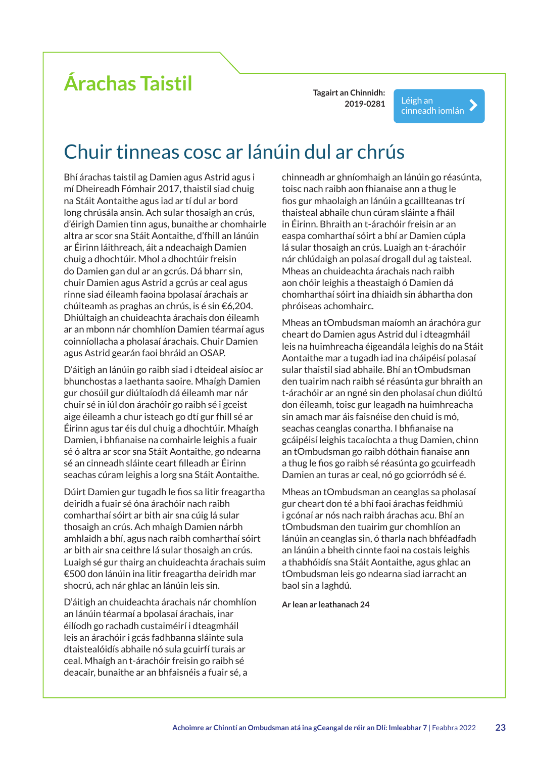**Tagairt an Chinnidh: 2019-0281** Léigh an

### [cinneadh iomlán](https://www.fspo.ie/decisions/documents/2019-0281.pdf)

### <span id="page-23-0"></span>Chuir tinneas cosc ar lánúin dul ar chrús

Bhí árachas taistil ag Damien agus Astrid agus i mí Dheireadh Fómhair 2017, thaistil siad chuig na Stáit Aontaithe agus iad ar tí dul ar bord long chrúsála ansin. Ach sular thosaigh an crús, d'éirigh Damien tinn agus, bunaithe ar chomhairle altra ar scor sna Stáit Aontaithe, d'fhill an lánúin ar Éirinn láithreach, áit a ndeachaigh Damien chuig a dhochtúir. Mhol a dhochtúir freisin do Damien gan dul ar an gcrús. Dá bharr sin, chuir Damien agus Astrid a gcrús ar ceal agus rinne siad éileamh faoina bpolasaí árachais ar chúiteamh as praghas an chrús, is é sin €6,204. Dhiúltaigh an chuideachta árachais don éileamh ar an mbonn nár chomhlíon Damien téarmaí agus coinníollacha a pholasaí árachais. Chuir Damien agus Astrid gearán faoi bhráid an OSAP.

D'áitigh an lánúin go raibh siad i dteideal aisíoc ar bhunchostas a laethanta saoire. Mhaígh Damien gur chosúil gur diúltaíodh dá éileamh mar nár chuir sé in iúl don árachóir go raibh sé i gceist aige éileamh a chur isteach go dtí gur fhill sé ar Éirinn agus tar éis dul chuig a dhochtúir. Mhaígh Damien, i bhfianaise na comhairle leighis a fuair sé ó altra ar scor sna Stáit Aontaithe, go ndearna sé an cinneadh sláinte ceart filleadh ar Éirinn seachas cúram leighis a lorg sna Stáit Aontaithe.

Dúirt Damien gur tugadh le fios sa litir freagartha deiridh a fuair sé óna árachóir nach raibh comharthaí sóirt ar bith air sna cúig lá sular thosaigh an crús. Ach mhaígh Damien nárbh amhlaidh a bhí, agus nach raibh comharthaí sóirt ar bith air sna ceithre lá sular thosaigh an crús. Luaigh sé gur thairg an chuideachta árachais suim €500 don lánúin ina litir freagartha deiridh mar shocrú, ach nár ghlac an lánúin leis sin.

D'áitigh an chuideachta árachais nár chomhlíon an lánúin téarmaí a bpolasaí árachais, inar éilíodh go rachadh custaiméirí i dteagmháil leis an árachóir i gcás fadhbanna sláinte sula dtaistealóidís abhaile nó sula gcuirfí turais ar ceal. Mhaígh an t-árachóir freisin go raibh sé deacair, bunaithe ar an bhfaisnéis a fuair sé, a

chinneadh ar ghníomhaigh an lánúin go réasúnta, toisc nach raibh aon fhianaise ann a thug le fios gur mhaolaigh an lánúin a gcaillteanas trí thaisteal abhaile chun cúram sláinte a fháil in Éirinn. Bhraith an t-árachóir freisin ar an easpa comharthaí sóirt a bhí ar Damien cúpla lá sular thosaigh an crús. Luaigh an t-árachóir nár chlúdaigh an polasaí drogall dul ag taisteal. Mheas an chuideachta árachais nach raibh aon chóir leighis a theastaigh ó Damien dá chomharthaí sóirt ina dhiaidh sin ábhartha don phróiseas achomhairc.

Mheas an tOmbudsman maíomh an árachóra gur cheart do Damien agus Astrid dul i dteagmháil leis na huimhreacha éigeandála leighis do na Stáit Aontaithe mar a tugadh iad ina cháipéisí polasaí sular thaistil siad abhaile. Bhí an tOmbudsman den tuairim nach raibh sé réasúnta gur bhraith an t-árachóir ar an ngné sin den pholasaí chun diúltú don éileamh, toisc gur leagadh na huimhreacha sin amach mar áis faisnéise den chuid is mó, seachas ceanglas conartha. I bhfianaise na gcáipéisí leighis tacaíochta a thug Damien, chinn an tOmbudsman go raibh dóthain fianaise ann a thug le fios go raibh sé réasúnta go gcuirfeadh Damien an turas ar ceal, nó go gciorródh sé é.

Mheas an tOmbudsman an ceanglas sa pholasaí gur cheart don té a bhí faoi árachas feidhmiú i gcónaí ar nós nach raibh árachas acu. Bhí an tOmbudsman den tuairim gur chomhlíon an lánúin an ceanglas sin, ó tharla nach bhféadfadh an lánúin a bheith cinnte faoi na costais leighis a thabhóidís sna Stáit Aontaithe, agus ghlac an tOmbudsman leis go ndearna siad iarracht an baol sin a laghdú.

**Ar lean ar leathanach 24**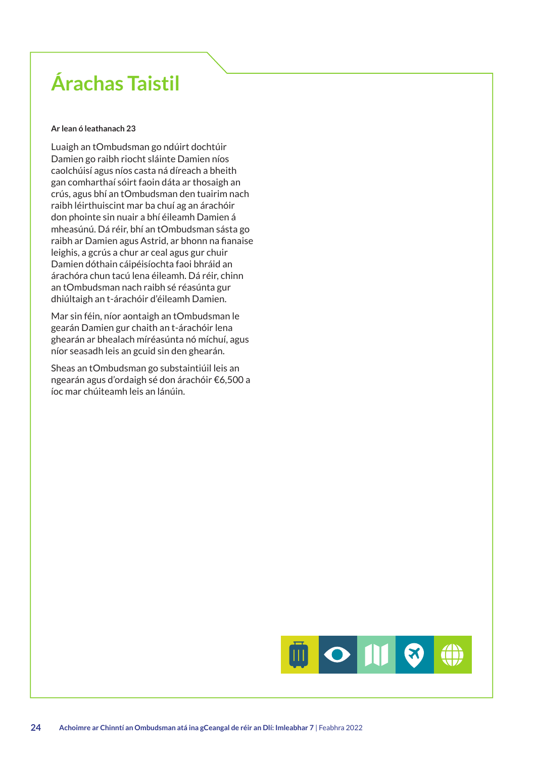#### **Ar lean ó leathanach 23**

Luaigh an tOmbudsman go ndúirt dochtúir Damien go raibh riocht sláinte Damien níos caolchúisí agus níos casta ná díreach a bheith gan comharthaí sóirt faoin dáta ar thosaigh an crús, agus bhí an tOmbudsman den tuairim nach raibh léirthuiscint mar ba chuí ag an árachóir don phointe sin nuair a bhí éileamh Damien á mheasúnú. Dá réir, bhí an tOmbudsman sásta go raibh ar Damien agus Astrid, ar bhonn na fianaise leighis, a gcrús a chur ar ceal agus gur chuir Damien dóthain cáipéisíochta faoi bhráid an árachóra chun tacú lena éileamh. Dá réir, chinn an tOmbudsman nach raibh sé réasúnta gur dhiúltaigh an t-árachóir d'éileamh Damien.

Mar sin féin, níor aontaigh an tOmbudsman le gearán Damien gur chaith an t-árachóir lena ghearán ar bhealach míréasúnta nó míchuí, agus níor seasadh leis an gcuid sin den ghearán.

Sheas an tOmbudsman go substaintiúil leis an ngearán agus d'ordaigh sé don árachóir €6,500 a íoc mar chúiteamh leis an lánúin.

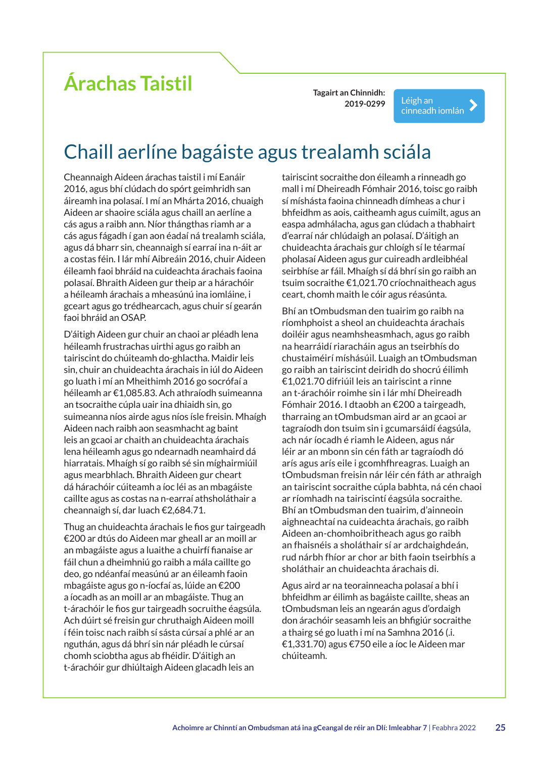**2019-0299**

#### Léigh an [cinneadh iomlán](https://www.fspo.ie/decisions/documents/2019-0299.pdf)

### <span id="page-25-0"></span>Chaill aerlíne bagáiste agus trealamh sciála

Cheannaigh Aideen árachas taistil i mí Eanáir 2016, agus bhí clúdach do spórt geimhridh san áireamh ina polasaí. I mí an Mhárta 2016, chuaigh Aideen ar shaoire sciála agus chaill an aerlíne a cás agus a raibh ann. Níor thángthas riamh ar a cás agus fágadh í gan aon éadaí ná trealamh sciála, agus dá bharr sin, cheannaigh sí earraí ina n-áit ar a costas féin. I lár mhí Aibreáin 2016, chuir Aideen éileamh faoi bhráid na cuideachta árachais faoina polasaí. Bhraith Aideen gur theip ar a hárachóir a héileamh árachais a mheasúnú ina iomláine, i gceart agus go trédhearcach, agus chuir sí gearán faoi bhráid an OSAP.

D'áitigh Aideen gur chuir an chaoi ar pléadh lena héileamh frustrachas uirthi agus go raibh an tairiscint do chúiteamh do-ghlactha. Maidir leis sin, chuir an chuideachta árachais in iúl do Aideen go luath i mí an Mheithimh 2016 go socrófaí a héileamh ar €1,085.83. Ach athraíodh suimeanna an tsocraithe cúpla uair ina dhiaidh sin, go suimeanna níos airde agus níos ísle freisin. Mhaígh Aideen nach raibh aon seasmhacht ag baint leis an gcaoi ar chaith an chuideachta árachais lena héileamh agus go ndearnadh neamhaird dá hiarratais. Mhaígh sí go raibh sé sin míghairmiúil agus mearbhlach. Bhraith Aideen gur cheart dá hárachóir cúiteamh a íoc léi as an mbagáiste caillte agus as costas na n-earraí athsholáthair a cheannaigh sí, dar luach €2,684.71.

Thug an chuideachta árachais le fios gur tairgeadh €200 ar dtús do Aideen mar gheall ar an moill ar an mbagáiste agus a luaithe a chuirfí fianaise ar fáil chun a dheimhniú go raibh a mála caillte go deo, go ndéanfaí measúnú ar an éileamh faoin mbagáiste agus go n-íocfaí as, lúide an €200 a íocadh as an moill ar an mbagáiste. Thug an t-árachóir le fios gur tairgeadh socruithe éagsúla. Ach dúirt sé freisin gur chruthaigh Aideen moill í féin toisc nach raibh sí sásta cúrsaí a phlé ar an nguthán, agus dá bhrí sin nár pléadh le cúrsaí chomh sciobtha agus ab fhéidir. D'áitigh an t-árachóir gur dhiúltaigh Aideen glacadh leis an

tairiscint socraithe don éileamh a rinneadh go mall i mí Dheireadh Fómhair 2016, toisc go raibh sí míshásta faoina chinneadh dímheas a chur i bhfeidhm as aois, caitheamh agus cuimilt, agus an easpa admhálacha, agus gan clúdach a thabhairt d'earraí nár chlúdaigh an polasaí. D'áitigh an chuideachta árachais gur chloígh sí le téarmaí pholasaí Aideen agus gur cuireadh ardleibhéal seirbhíse ar fáil. Mhaígh sí dá bhrí sin go raibh an tsuim socraithe €1,021.70 críochnaitheach agus ceart, chomh maith le cóir agus réasúnta.

Bhí an tOmbudsman den tuairim go raibh na ríomhphoist a sheol an chuideachta árachais doiléir agus neamhsheasmhach, agus go raibh na hearráidí riaracháin agus an tseirbhís do chustaiméirí míshásúil. Luaigh an tOmbudsman go raibh an tairiscint deiridh do shocrú éilimh €1,021.70 difriúil leis an tairiscint a rinne an t-árachóir roimhe sin i lár mhí Dheireadh Fómhair 2016. I dtaobh an €200 a tairgeadh, tharraing an tOmbudsman aird ar an gcaoi ar tagraíodh don tsuim sin i gcumarsáidí éagsúla, ach nár íocadh é riamh le Aideen, agus nár léir ar an mbonn sin cén fáth ar tagraíodh dó arís agus arís eile i gcomhfhreagras. Luaigh an tOmbudsman freisin nár léir cén fáth ar athraigh an tairiscint socraithe cúpla babhta, ná cén chaoi ar ríomhadh na tairiscintí éagsúla socraithe. Bhí an tOmbudsman den tuairim, d'ainneoin aighneachtaí na cuideachta árachais, go raibh Aideen an-chomhoibritheach agus go raibh an fhaisnéis a sholáthair sí ar ardchaighdeán, rud nárbh fhíor ar chor ar bith faoin tseirbhís a sholáthair an chuideachta árachais di.

Agus aird ar na teorainneacha polasaí a bhí i bhfeidhm ar éilimh as bagáiste caillte, sheas an tOmbudsman leis an ngearán agus d'ordaigh don árachóir seasamh leis an bhfigiúr socraithe a thairg sé go luath i mí na Samhna 2016 (.i. €1,331.70) agus €750 eile a íoc le Aideen mar chúiteamh.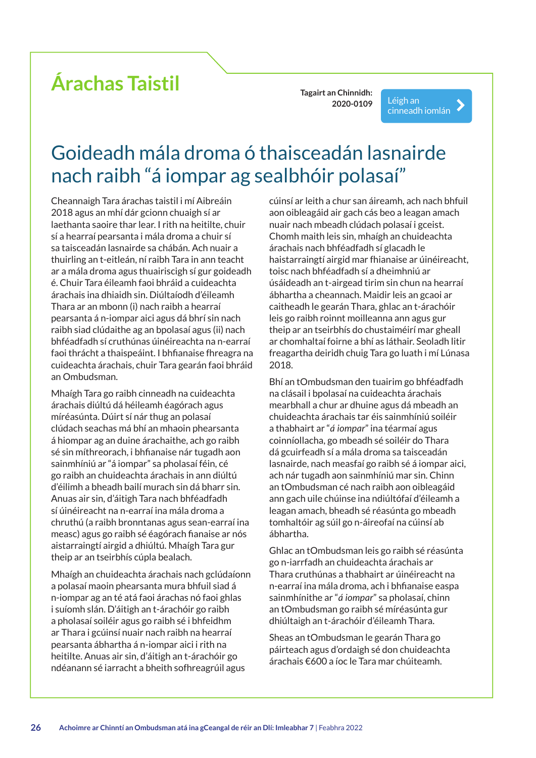**2020-0109**

#### Léigh an [cinneadh iomlán](https://www.fspo.ie/decisions/documents/2020-0109.pdf)

### <span id="page-26-0"></span>Goideadh mála droma ó thaisceadán lasnairde nach raibh "á iompar ag sealbhóir polasaí"

Cheannaigh Tara árachas taistil i mí Aibreáin 2018 agus an mhí dár gcionn chuaigh sí ar laethanta saoire thar lear. I rith na heitilte, chuir sí a hearraí pearsanta i mála droma a chuir sí sa taisceadán lasnairde sa chábán. Ach nuair a thuirling an t-eitleán, ní raibh Tara in ann teacht ar a mála droma agus thuairiscigh sí gur goideadh é. Chuir Tara éileamh faoi bhráid a cuideachta árachais ina dhiaidh sin. Diúltaíodh d'éileamh Thara ar an mbonn (i) nach raibh a hearraí pearsanta á n-iompar aici agus dá bhrí sin nach raibh siad clúdaithe ag an bpolasaí agus (ii) nach bhféadfadh sí cruthúnas úinéireachta na n-earraí faoi thrácht a thaispeáint. I bhfianaise fhreagra na cuideachta árachais, chuir Tara gearán faoi bhráid an Ombudsman.

Mhaígh Tara go raibh cinneadh na cuideachta árachais diúltú dá héileamh éagórach agus míréasúnta. Dúirt sí nár thug an polasaí clúdach seachas má bhí an mhaoin phearsanta á hiompar ag an duine árachaithe, ach go raibh sé sin míthreorach, i bhfianaise nár tugadh aon sainmhíniú ar "á iompar" sa pholasaí féin, cé go raibh an chuideachta árachais in ann diúltú d'éilimh a bheadh bailí murach sin dá bharr sin. Anuas air sin, d'áitigh Tara nach bhféadfadh sí úinéireacht na n-earraí ina mála droma a chruthú (a raibh bronntanas agus sean-earraí ina measc) agus go raibh sé éagórach fianaise ar nós aistarraingtí airgid a dhiúltú. Mhaígh Tara gur theip ar an tseirbhís cúpla bealach.

Mhaígh an chuideachta árachais nach gclúdaíonn a polasaí maoin phearsanta mura bhfuil siad á n-iompar ag an té atá faoi árachas nó faoi ghlas i suíomh slán. D'áitigh an t-árachóir go raibh a pholasaí soiléir agus go raibh sé i bhfeidhm ar Thara i gcúinsí nuair nach raibh na hearraí pearsanta ábhartha á n-iompar aici i rith na heitilte. Anuas air sin, d'áitigh an t-árachóir go ndéanann sé iarracht a bheith sofhreagrúil agus

cúinsí ar leith a chur san áireamh, ach nach bhfuil aon oibleagáid air gach cás beo a leagan amach nuair nach mbeadh clúdach polasaí i gceist. Chomh maith leis sin, mhaígh an chuideachta árachais nach bhféadfadh sí glacadh le haistarraingtí airgid mar fhianaise ar úinéireacht, toisc nach bhféadfadh sí a dheimhniú ar úsáideadh an t-airgead tirim sin chun na hearraí ábhartha a cheannach. Maidir leis an gcaoi ar caitheadh le gearán Thara, ghlac an t-árachóir leis go raibh roinnt moilleanna ann agus gur theip ar an tseirbhís do chustaiméirí mar gheall ar chomhaltaí foirne a bhí as láthair. Seoladh litir freagartha deiridh chuig Tara go luath i mí Lúnasa 2018.

Bhí an tOmbudsman den tuairim go bhféadfadh na clásail i bpolasaí na cuideachta árachais mearbhall a chur ar dhuine agus dá mbeadh an chuideachta árachais tar éis sainmhíniú soiléir a thabhairt ar "*á iompar*" ina téarmaí agus coinníollacha, go mbeadh sé soiléir do Thara dá gcuirfeadh sí a mála droma sa taisceadán lasnairde, nach measfaí go raibh sé á iompar aici, ach nár tugadh aon sainmhíniú mar sin. Chinn an tOmbudsman cé nach raibh aon oibleagáid ann gach uile chúinse ina ndiúltófaí d'éileamh a leagan amach, bheadh sé réasúnta go mbeadh tomhaltóir ag súil go n-áireofaí na cúinsí ab ábhartha.

Ghlac an tOmbudsman leis go raibh sé réasúnta go n-iarrfadh an chuideachta árachais ar Thara cruthúnas a thabhairt ar úinéireacht na n-earraí ina mála droma, ach i bhfianaise easpa sainmhínithe ar "*á iompar*" sa pholasaí, chinn an tOmbudsman go raibh sé míréasúnta gur dhiúltaigh an t-árachóir d'éileamh Thara.

Sheas an tOmbudsman le gearán Thara go páirteach agus d'ordaigh sé don chuideachta árachais €600 a íoc le Tara mar chúiteamh.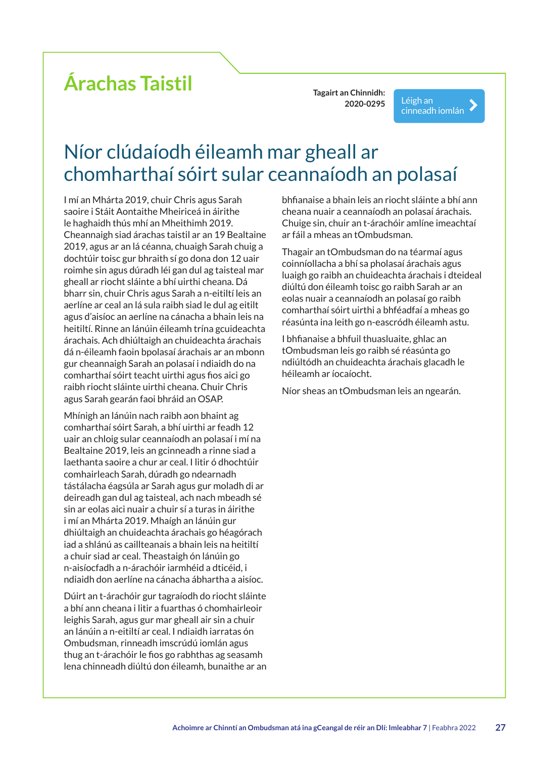**2020-0295**

#### Léigh an [cinneadh iomlán](https://www.fspo.ie/decisions/documents/2020-0295.pdf)

### <span id="page-27-0"></span>Níor clúdaíodh éileamh mar gheall ar chomharthaí sóirt sular ceannaíodh an polasaí

I mí an Mhárta 2019, chuir Chris agus Sarah saoire i Stáit Aontaithe Mheiriceá in áirithe le haghaidh thús mhí an Mheithimh 2019. Cheannaigh siad árachas taistil ar an 19 Bealtaine 2019, agus ar an lá céanna, chuaigh Sarah chuig a dochtúir toisc gur bhraith sí go dona don 12 uair roimhe sin agus dúradh léi gan dul ag taisteal mar gheall ar riocht sláinte a bhí uirthi cheana. Dá bharr sin, chuir Chris agus Sarah a n-eitiltí leis an aerlíne ar ceal an lá sula raibh siad le dul ag eitilt agus d'aisíoc an aerlíne na cánacha a bhain leis na heitiltí. Rinne an lánúin éileamh trína gcuideachta árachais. Ach dhiúltaigh an chuideachta árachais dá n-éileamh faoin bpolasaí árachais ar an mbonn gur cheannaigh Sarah an polasaí i ndiaidh do na comharthaí sóirt teacht uirthi agus fios aici go raibh riocht sláinte uirthi cheana. Chuir Chris agus Sarah gearán faoi bhráid an OSAP.

Mhínigh an lánúin nach raibh aon bhaint ag comharthaí sóirt Sarah, a bhí uirthi ar feadh 12 uair an chloig sular ceannaíodh an polasaí i mí na Bealtaine 2019, leis an gcinneadh a rinne siad a laethanta saoire a chur ar ceal. I litir ó dhochtúir comhairleach Sarah, dúradh go ndearnadh tástálacha éagsúla ar Sarah agus gur moladh di ar deireadh gan dul ag taisteal, ach nach mbeadh sé sin ar eolas aici nuair a chuir sí a turas in áirithe i mí an Mhárta 2019. Mhaígh an lánúin gur dhiúltaigh an chuideachta árachais go héagórach iad a shlánú as caillteanais a bhain leis na heitiltí a chuir siad ar ceal. Theastaigh ón lánúin go n-aisíocfadh a n-árachóir iarmhéid a dticéid, i ndiaidh don aerlíne na cánacha ábhartha a aisíoc.

Dúirt an t-árachóir gur tagraíodh do riocht sláinte a bhí ann cheana i litir a fuarthas ó chomhairleoir leighis Sarah, agus gur mar gheall air sin a chuir an lánúin a n-eitiltí ar ceal. I ndiaidh iarratas ón Ombudsman, rinneadh imscrúdú iomlán agus thug an t-árachóir le fios go rabhthas ag seasamh lena chinneadh diúltú don éileamh, bunaithe ar an bhfianaise a bhain leis an riocht sláinte a bhí ann cheana nuair a ceannaíodh an polasaí árachais. Chuige sin, chuir an t-árachóir amlíne imeachtaí ar fáil a mheas an tOmbudsman.

Thagair an tOmbudsman do na téarmaí agus coinníollacha a bhí sa pholasaí árachais agus luaigh go raibh an chuideachta árachais i dteideal diúltú don éileamh toisc go raibh Sarah ar an eolas nuair a ceannaíodh an polasaí go raibh comharthaí sóirt uirthi a bhféadfaí a mheas go réasúnta ina leith go n-eascródh éileamh astu.

I bhfianaise a bhfuil thuasluaite, ghlac an tOmbudsman leis go raibh sé réasúnta go ndiúltódh an chuideachta árachais glacadh le héileamh ar íocaíocht.

Níor sheas an tOmbudsman leis an ngearán.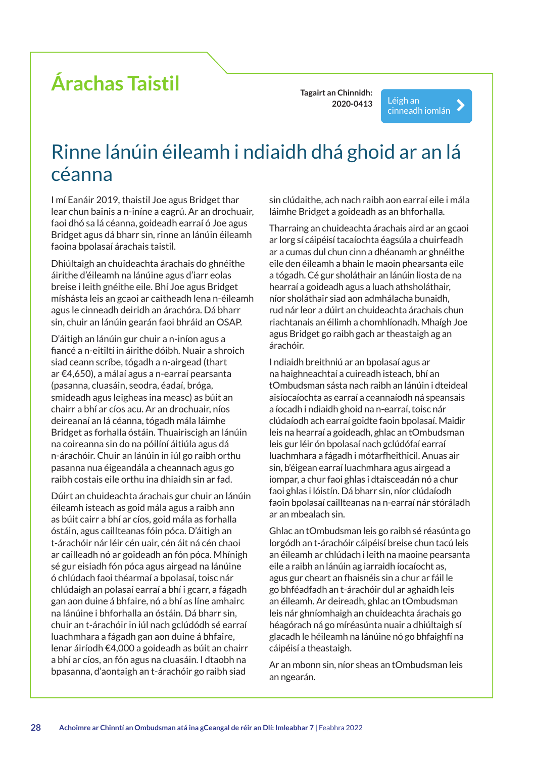**2020-0413**



### <span id="page-28-0"></span>Rinne lánúin éileamh i ndiaidh dhá ghoid ar an lá céanna

I mí Eanáir 2019, thaistil Joe agus Bridget thar lear chun bainis a n-iníne a eagrú. Ar an drochuair, faoi dhó sa lá céanna, goideadh earraí ó Joe agus Bridget agus dá bharr sin, rinne an lánúin éileamh faoina bpolasaí árachais taistil.

Dhiúltaigh an chuideachta árachais do ghnéithe áirithe d'éileamh na lánúine agus d'iarr eolas breise i leith gnéithe eile. Bhí Joe agus Bridget míshásta leis an gcaoi ar caitheadh lena n-éileamh agus le cinneadh deiridh an árachóra. Dá bharr sin, chuir an lánúin gearán faoi bhráid an OSAP.

D'áitigh an lánúin gur chuir a n-iníon agus a fiancé a n-eitiltí in áirithe dóibh. Nuair a shroich siad ceann scríbe, tógadh a n-airgead (thart ar €4,650), a málaí agus a n-earraí pearsanta (pasanna, cluasáin, seodra, éadaí, bróga, smideadh agus leigheas ina measc) as búit an chairr a bhí ar cíos acu. Ar an drochuair, níos deireanaí an lá céanna, tógadh mála láimhe Bridget as forhalla óstáin. Thuairiscigh an lánúin na coireanna sin do na póilíní áitiúla agus dá n-árachóir. Chuir an lánúin in iúl go raibh orthu pasanna nua éigeandála a cheannach agus go raibh costais eile orthu ina dhiaidh sin ar fad.

Dúirt an chuideachta árachais gur chuir an lánúin éileamh isteach as goid mála agus a raibh ann as búit cairr a bhí ar cíos, goid mála as forhalla óstáin, agus caillteanas fóin póca. D'áitigh an t-árachóir nár léir cén uair, cén áit ná cén chaoi ar cailleadh nó ar goideadh an fón póca. Mhínigh sé gur eisiadh fón póca agus airgead na lánúine ó chlúdach faoi théarmaí a bpolasaí, toisc nár chlúdaigh an polasaí earraí a bhí i gcarr, a fágadh gan aon duine á bhfaire, nó a bhí as líne amhairc na lánúine i bhforhalla an óstáin. Dá bharr sin, chuir an t-árachóir in iúl nach gclúdódh sé earraí luachmhara a fágadh gan aon duine á bhfaire, lenar áiríodh €4,000 a goideadh as búit an chairr a bhí ar cíos, an fón agus na cluasáin. I dtaobh na bpasanna, d'aontaigh an t-árachóir go raibh siad

sin clúdaithe, ach nach raibh aon earraí eile i mála láimhe Bridget a goideadh as an bhforhalla.

Tharraing an chuideachta árachais aird ar an gcaoi ar lorg sí cáipéisí tacaíochta éagsúla a chuirfeadh ar a cumas dul chun cinn a dhéanamh ar ghnéithe eile den éileamh a bhain le maoin phearsanta eile a tógadh. Cé gur sholáthair an lánúin liosta de na hearraí a goideadh agus a luach athsholáthair, níor sholáthair siad aon admhálacha bunaidh, rud nár leor a dúirt an chuideachta árachais chun riachtanais an éilimh a chomhlíonadh. Mhaígh Joe agus Bridget go raibh gach ar theastaigh ag an árachóir.

I ndiaidh breithniú ar an bpolasaí agus ar na haighneachtaí a cuireadh isteach, bhí an tOmbudsman sásta nach raibh an lánúin i dteideal aisíocaíochta as earraí a ceannaíodh ná speansais a íocadh i ndiaidh ghoid na n-earraí, toisc nár clúdaíodh ach earraí goidte faoin bpolasaí. Maidir leis na hearraí a goideadh, ghlac an tOmbudsman leis gur léir ón bpolasaí nach gclúdófaí earraí luachmhara a fágadh i mótarfheithicil. Anuas air sin, b'éigean earraí luachmhara agus airgead a iompar, a chur faoi ghlas i dtaisceadán nó a chur faoi ghlas i lóistín. Dá bharr sin, níor clúdaíodh faoin bpolasaí caillteanas na n-earraí nár stóráladh ar an mbealach sin.

Ghlac an tOmbudsman leis go raibh sé réasúnta go lorgódh an t-árachóir cáipéisí breise chun tacú leis an éileamh ar chlúdach i leith na maoine pearsanta eile a raibh an lánúin ag iarraidh íocaíocht as, agus gur cheart an fhaisnéis sin a chur ar fáil le go bhféadfadh an t-árachóir dul ar aghaidh leis an éileamh. Ar deireadh, ghlac an tOmbudsman leis nár ghníomhaigh an chuideachta árachais go héagórach ná go míréasúnta nuair a dhiúltaigh sí glacadh le héileamh na lánúine nó go bhfaighfí na cáipéisí a theastaigh.

Ar an mbonn sin, níor sheas an tOmbudsman leis an ngearán.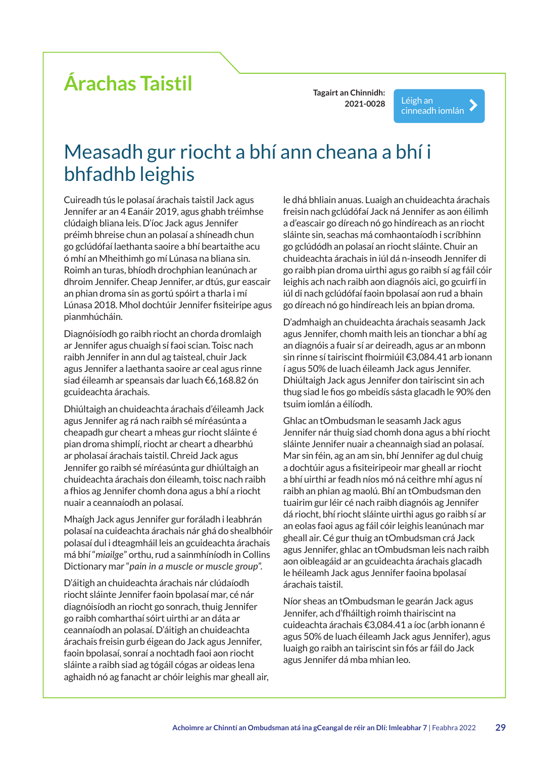**2021-0028**

#### Léigh an [cinneadh iomlán](https://www.fspo.ie/decisions/documents/2021-0028.pdf)

### <span id="page-29-0"></span>Measadh gur riocht a bhí ann cheana a bhí i bhfadhb leighis

Cuireadh tús le polasaí árachais taistil Jack agus Jennifer ar an 4 Eanáir 2019, agus ghabh tréimhse clúdaigh bliana leis. D'íoc Jack agus Jennifer préimh bhreise chun an polasaí a shíneadh chun go gclúdófaí laethanta saoire a bhí beartaithe acu ó mhí an Mheithimh go mí Lúnasa na bliana sin. Roimh an turas, bhíodh drochphian leanúnach ar dhroim Jennifer. Cheap Jennifer, ar dtús, gur eascair an phian droma sin as gortú spóirt a tharla i mí Lúnasa 2018. Mhol dochtúir Jennifer fisiteiripe agus pianmhúcháin.

Diagnóisíodh go raibh riocht an chorda dromlaigh ar Jennifer agus chuaigh sí faoi scian. Toisc nach raibh Jennifer in ann dul ag taisteal, chuir Jack agus Jennifer a laethanta saoire ar ceal agus rinne siad éileamh ar speansais dar luach €6,168.82 ón gcuideachta árachais.

Dhiúltaigh an chuideachta árachais d'éileamh Jack agus Jennifer ag rá nach raibh sé míréasúnta a cheapadh gur cheart a mheas gur riocht sláinte é pian droma shimplí, riocht ar cheart a dhearbhú ar pholasaí árachais taistil. Chreid Jack agus Jennifer go raibh sé míréasúnta gur dhiúltaigh an chuideachta árachais don éileamh, toisc nach raibh a fhios ag Jennifer chomh dona agus a bhí a riocht nuair a ceannaíodh an polasaí.

Mhaígh Jack agus Jennifer gur foráladh i leabhrán polasaí na cuideachta árachais nár ghá do shealbhóir polasaí dul i dteagmháil leis an gcuideachta árachais má bhí "*miailge*" orthu, rud a sainmhíníodh in Collins Dictionary mar "*pain in a muscle or muscle group*".

D'áitigh an chuideachta árachais nár clúdaíodh riocht sláinte Jennifer faoin bpolasaí mar, cé nár diagnóisíodh an riocht go sonrach, thuig Jennifer go raibh comharthaí sóirt uirthi ar an dáta ar ceannaíodh an polasaí. D'áitigh an chuideachta árachais freisin gurb éigean do Jack agus Jennifer, faoin bpolasaí, sonraí a nochtadh faoi aon riocht sláinte a raibh siad ag tógáil cógas ar oideas lena aghaidh nó ag fanacht ar chóir leighis mar gheall air, le dhá bhliain anuas. Luaigh an chuideachta árachais freisin nach gclúdófaí Jack ná Jennifer as aon éilimh a d'eascair go díreach nó go hindíreach as an riocht sláinte sin, seachas má comhaontaíodh i scríbhinn go gclúdódh an polasaí an riocht sláinte. Chuir an chuideachta árachais in iúl dá n-inseodh Jennifer di go raibh pian droma uirthi agus go raibh sí ag fáil cóir leighis ach nach raibh aon diagnóis aici, go gcuirfí in iúl di nach gclúdófaí faoin bpolasaí aon rud a bhain go díreach nó go hindíreach leis an bpian droma.

D'admhaigh an chuideachta árachais seasamh Jack agus Jennifer, chomh maith leis an tionchar a bhí ag an diagnóis a fuair sí ar deireadh, agus ar an mbonn sin rinne sí tairiscint fhoirmiúil €3,084.41 arb ionann í agus 50% de luach éileamh Jack agus Jennifer. Dhiúltaigh Jack agus Jennifer don tairiscint sin ach thug siad le fios go mbeidís sásta glacadh le 90% den tsuim iomlán a éilíodh.

Ghlac an tOmbudsman le seasamh Jack agus Jennifer nár thuig siad chomh dona agus a bhí riocht sláinte Jennifer nuair a cheannaigh siad an polasaí. Mar sin féin, ag an am sin, bhí Jennifer ag dul chuig a dochtúir agus a fisiteiripeoir mar gheall ar riocht a bhí uirthi ar feadh níos mó ná ceithre mhí agus ní raibh an phian ag maolú. Bhí an tOmbudsman den tuairim gur léir cé nach raibh diagnóis ag Jennifer dá riocht, bhí riocht sláinte uirthi agus go raibh sí ar an eolas faoi agus ag fáil cóir leighis leanúnach mar gheall air. Cé gur thuig an tOmbudsman crá Jack agus Jennifer, ghlac an tOmbudsman leis nach raibh aon oibleagáid ar an gcuideachta árachais glacadh le héileamh Jack agus Jennifer faoina bpolasaí árachais taistil.

Níor sheas an tOmbudsman le gearán Jack agus Jennifer, ach d'fháiltigh roimh thairiscint na cuideachta árachais €3,084.41 a íoc (arbh ionann é agus 50% de luach éileamh Jack agus Jennifer), agus luaigh go raibh an tairiscint sin fós ar fáil do Jack agus Jennifer dá mba mhian leo.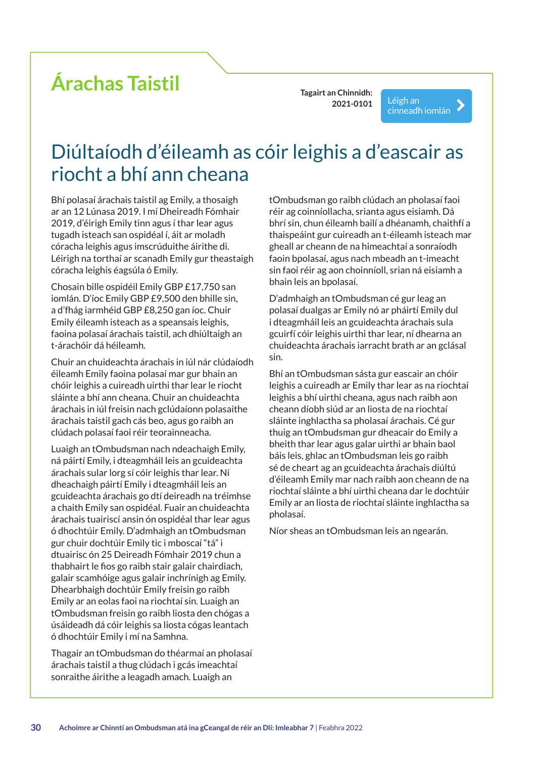**2021-0101**



### <span id="page-30-0"></span>Diúltaíodh d'éileamh as cóir leighis a d'eascair as riocht a bhí ann cheana

Bhí polasaí árachais taistil ag Emily, a thosaigh ar an 12 Lúnasa 2019. I mí Dheireadh Fómhair 2019, d'éirigh Emily tinn agus í thar lear agus tugadh isteach san ospidéal í, áit ar moladh córacha leighis agus imscrúduithe áirithe di. Léirigh na torthaí ar scanadh Emily gur theastaigh córacha leighis éagsúla ó Emily.

Chosain bille ospidéil Emily GBP £17,750 san iomlán. D'íoc Emily GBP £9,500 den bhille sin, a d'fhág iarmhéid GBP £8,250 gan íoc. Chuir Emily éileamh isteach as a speansais leighis, faoina polasaí árachais taistil, ach dhiúltaigh an t-árachóir dá héileamh.

Chuir an chuideachta árachais in iúl nár clúdaíodh éileamh Emily faoina polasaí mar gur bhain an chóir leighis a cuireadh uirthi thar lear le riocht sláinte a bhí ann cheana. Chuir an chuideachta árachais in iúl freisin nach gclúdaíonn polasaithe árachais taistil gach cás beo, agus go raibh an clúdach polasaí faoi réir teorainneacha.

Luaigh an tOmbudsman nach ndeachaigh Emily, ná páirtí Emily, i dteagmháil leis an gcuideachta árachais sular lorg sí cóir leighis thar lear. Ní dheachaigh páirtí Emily i dteagmháil leis an gcuideachta árachais go dtí deireadh na tréimhse a chaith Emily san ospidéal. Fuair an chuideachta árachais tuairiscí ansin ón ospidéal thar lear agus ó dhochtúir Emily. D'admhaigh an tOmbudsman gur chuir dochtúir Emily tic i mboscaí "tá" i dtuairisc ón 25 Deireadh Fómhair 2019 chun a thabhairt le fios go raibh stair galair chairdiach, galair scamhóige agus galair inchrínigh ag Emily. Dhearbhaigh dochtúir Emily freisin go raibh Emily ar an eolas faoi na riochtaí sin. Luaigh an tOmbudsman freisin go raibh liosta den chógas a úsáideadh dá cóir leighis sa liosta cógas leantach ó dhochtúir Emily i mí na Samhna.

Thagair an tOmbudsman do théarmaí an pholasaí árachais taistil a thug clúdach i gcás imeachtaí sonraithe áirithe a leagadh amach. Luaigh an

tOmbudsman go raibh clúdach an pholasaí faoi réir ag coinníollacha, srianta agus eisiamh. Dá bhrí sin, chun éileamh bailí a dhéanamh, chaithfí a thaispeáint gur cuireadh an t-éileamh isteach mar gheall ar cheann de na himeachtaí a sonraíodh faoin bpolasaí, agus nach mbeadh an t-imeacht sin faoi réir ag aon choinníoll, srian ná eisiamh a bhain leis an bpolasaí.

D'admhaigh an tOmbudsman cé gur leag an polasaí dualgas ar Emily nó ar pháirtí Emily dul i dteagmháil leis an gcuideachta árachais sula gcuirfí cóir leighis uirthi thar lear, ní dhearna an chuideachta árachais iarracht brath ar an gclásal sin.

Bhí an tOmbudsman sásta gur eascair an chóir leighis a cuireadh ar Emily thar lear as na riochtaí leighis a bhí uirthi cheana, agus nach raibh aon cheann díobh siúd ar an liosta de na riochtaí sláinte inghlactha sa pholasaí árachais. Cé gur thuig an tOmbudsman gur dheacair do Emily a bheith thar lear agus galar uirthi ar bhain baol báis leis, ghlac an tOmbudsman leis go raibh sé de cheart ag an gcuideachta árachais diúltú d'éileamh Emily mar nach raibh aon cheann de na riochtaí sláinte a bhí uirthi cheana dar le dochtúir Emily ar an liosta de riochtaí sláinte inghlactha sa pholasaí.

Níor sheas an tOmbudsman leis an ngearán.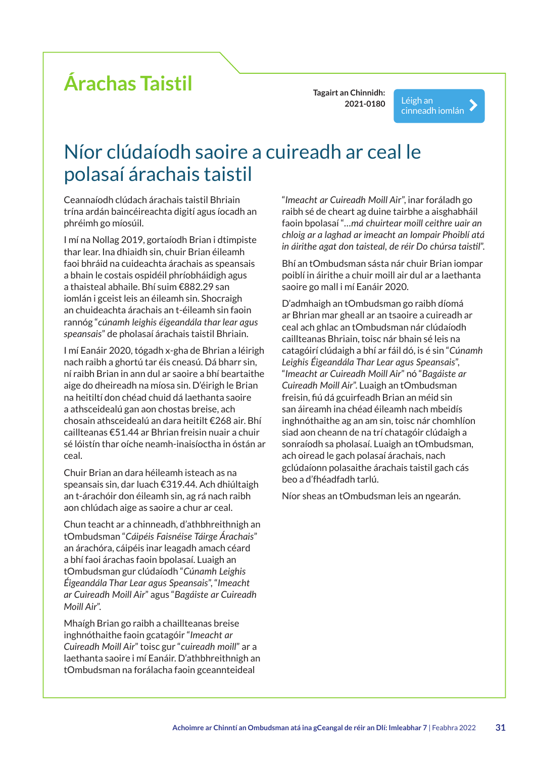**2021-0180**

Léigh an [cinneadh iomlán](https://www.fspo.ie/decisions/documents/2021-0180.pdf) 

### <span id="page-31-0"></span>Níor clúdaíodh saoire a cuireadh ar ceal le polasaí árachais taistil

Ceannaíodh clúdach árachais taistil Bhriain trína ardán baincéireachta digití agus íocadh an phréimh go míosúil.

I mí na Nollag 2019, gortaíodh Brian i dtimpiste thar lear. Ina dhiaidh sin, chuir Brian éileamh faoi bhráid na cuideachta árachais as speansais a bhain le costais ospidéil phríobháidigh agus a thaisteal abhaile. Bhí suim €882.29 san iomlán i gceist leis an éileamh sin. Shocraigh an chuideachta árachais an t-éileamh sin faoin rannóg "*cúnamh leighis éigeandála thar lear agus speansais*" de pholasaí árachais taistil Bhriain.

I mí Eanáir 2020, tógadh x-gha de Bhrian a léirigh nach raibh a ghortú tar éis cneasú. Dá bharr sin, ní raibh Brian in ann dul ar saoire a bhí beartaithe aige do dheireadh na míosa sin. D'éirigh le Brian na heitiltí don chéad chuid dá laethanta saoire a athsceidealú gan aon chostas breise, ach chosain athsceidealú an dara heitilt €268 air. Bhí caillteanas €51.44 ar Bhrian freisin nuair a chuir sé lóistín thar oíche neamh-inaisíoctha in óstán ar ceal.

Chuir Brian an dara héileamh isteach as na speansais sin, dar luach €319.44. Ach dhiúltaigh an t-árachóir don éileamh sin, ag rá nach raibh aon chlúdach aige as saoire a chur ar ceal.

Chun teacht ar a chinneadh, d'athbhreithnigh an tOmbudsman "*Cáipéis Faisnéise Táirge Árachais*" an árachóra, cáipéis inar leagadh amach céard a bhí faoi árachas faoin bpolasaí. Luaigh an tOmbudsman gur clúdaíodh "*Cúnamh Leighis Éigeandála Thar Lear agus Speansais*", "*Imeacht ar Cuireadh Moill Air*" agus "*Bagáiste ar Cuireadh Moill Air*".

Mhaígh Brian go raibh a chaillteanas breise inghnóthaithe faoin gcatagóir "*Imeacht ar Cuireadh Moill Air*" toisc gur "*cuireadh moill*" ar a laethanta saoire i mí Eanáir. D'athbhreithnigh an tOmbudsman na forálacha faoin gceannteideal

"*Imeacht ar Cuireadh Moill Ai*r", inar foráladh go raibh sé de cheart ag duine tairbhe a aisghabháil faoin bpolasaí "*…má chuirtear moill ceithre uair an chloig ar a laghad ar imeacht an Iompair Phoiblí atá in áirithe agat don taisteal, de réir Do chúrsa taistil*".

Bhí an tOmbudsman sásta nár chuir Brian iompar poiblí in áirithe a chuir moill air dul ar a laethanta saoire go mall i mí Eanáir 2020.

D'admhaigh an tOmbudsman go raibh díomá ar Bhrian mar gheall ar an tsaoire a cuireadh ar ceal ach ghlac an tOmbudsman nár clúdaíodh caillteanas Bhriain, toisc nár bhain sé leis na catagóirí clúdaigh a bhí ar fáil dó, is é sin "*Cúnamh Leighis Éigeandála Thar Lear agus Speansais*", "*Imeacht ar Cuireadh Moill Air*" nó "*Bagáiste ar Cuireadh Moill Air*". Luaigh an tOmbudsman freisin, fiú dá gcuirfeadh Brian an méid sin san áireamh ina chéad éileamh nach mbeidís inghnóthaithe ag an am sin, toisc nár chomhlíon siad aon cheann de na trí chatagóir clúdaigh a sonraíodh sa pholasaí. Luaigh an tOmbudsman, ach oiread le gach polasaí árachais, nach gclúdaíonn polasaithe árachais taistil gach cás beo a d'fhéadfadh tarlú.

Níor sheas an tOmbudsman leis an ngearán.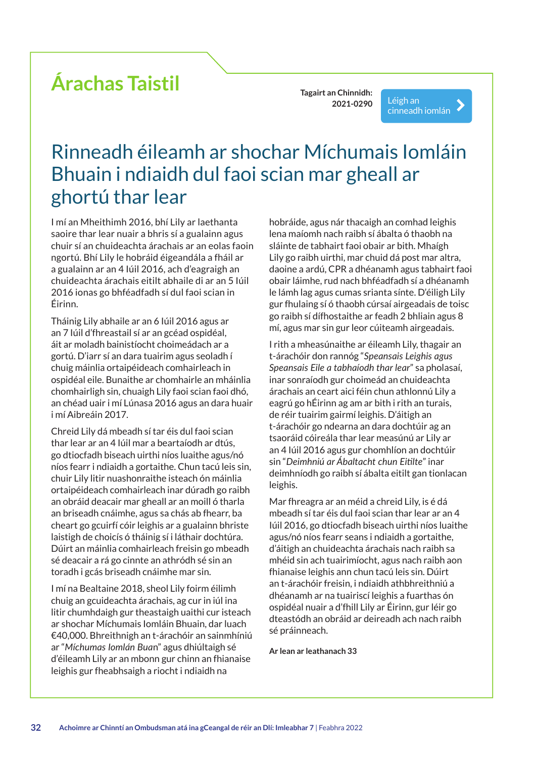**Tagairt an Chinnidh: 2021-0290** Léigh an

### [cinneadh iomlán](https://www.fspo.ie/decisions/documents/2021-0290.pdf)

### <span id="page-32-0"></span>Rinneadh éileamh ar shochar Míchumais Iomláin Bhuain i ndiaidh dul faoi scian mar gheall ar ghortú thar lear

I mí an Mheithimh 2016, bhí Lily ar laethanta saoire thar lear nuair a bhris sí a gualainn agus chuir sí an chuideachta árachais ar an eolas faoin ngortú. Bhí Lily le hobráid éigeandála a fháil ar a gualainn ar an 4 Iúil 2016, ach d'eagraigh an chuideachta árachais eitilt abhaile di ar an 5 Iúil 2016 ionas go bhféadfadh sí dul faoi scian in Éirinn.

Tháinig Lily abhaile ar an 6 Iúil 2016 agus ar an 7 Iúil d'fhreastail sí ar an gcéad ospidéal, áit ar moladh bainistíocht choimeádach ar a gortú. D'iarr sí an dara tuairim agus seoladh í chuig máinlia ortaipéideach comhairleach in ospidéal eile. Bunaithe ar chomhairle an mháinlia chomhairligh sin, chuaigh Lily faoi scian faoi dhó, an chéad uair i mí Lúnasa 2016 agus an dara huair i mí Aibreáin 2017.

Chreid Lily dá mbeadh sí tar éis dul faoi scian thar lear ar an 4 Iúil mar a beartaíodh ar dtús, go dtiocfadh biseach uirthi níos luaithe agus/nó níos fearr i ndiaidh a gortaithe. Chun tacú leis sin, chuir Lily litir nuashonraithe isteach ón máinlia ortaipéideach comhairleach inar dúradh go raibh an obráid deacair mar gheall ar an moill ó tharla an briseadh cnáimhe, agus sa chás ab fhearr, ba cheart go gcuirfí cóir leighis ar a gualainn bhriste laistigh de choicís ó tháinig sí i láthair dochtúra. Dúirt an máinlia comhairleach freisin go mbeadh sé deacair a rá go cinnte an athródh sé sin an toradh i gcás briseadh cnáimhe mar sin.

I mí na Bealtaine 2018, sheol Lily foirm éilimh chuig an gcuideachta árachais, ag cur in iúl ina litir chumhdaigh gur theastaigh uaithi cur isteach ar shochar Míchumais Iomláin Bhuain, dar luach €40,000. Bhreithnigh an t-árachóir an sainmhíniú ar "*Míchumas Iomlán Bua*n" agus dhiúltaigh sé d'éileamh Lily ar an mbonn gur chinn an fhianaise leighis gur fheabhsaigh a riocht i ndiaidh na

hobráide, agus nár thacaigh an comhad leighis lena maíomh nach raibh sí ábalta ó thaobh na sláinte de tabhairt faoi obair ar bith. Mhaígh Lily go raibh uirthi, mar chuid dá post mar altra, daoine a ardú, CPR a dhéanamh agus tabhairt faoi obair láimhe, rud nach bhféadfadh sí a dhéanamh le lámh lag agus cumas srianta sínte. D'éiligh Lily gur fhulaing sí ó thaobh cúrsaí airgeadais de toisc go raibh sí dífhostaithe ar feadh 2 bhliain agus 8 mí, agus mar sin gur leor cúiteamh airgeadais.

I rith a mheasúnaithe ar éileamh Lily, thagair an t-árachóir don rannóg "*Speansais Leighis agus Speansais Eile a tabhaíodh thar lear*" sa pholasaí, inar sonraíodh gur choimeád an chuideachta árachais an ceart aici féin chun athlonnú Lily a eagrú go hÉirinn ag am ar bith i rith an turais, de réir tuairim gairmí leighis. D'áitigh an t-árachóir go ndearna an dara dochtúir ag an tsaoráid cóireála thar lear measúnú ar Lily ar an 4 Iúil 2016 agus gur chomhlíon an dochtúir sin "*Deimhniú ar Ábaltacht chun Eitilte*" inar deimhníodh go raibh sí ábalta eitilt gan tionlacan leighis.

Mar fhreagra ar an méid a chreid Lily, is é dá mbeadh sí tar éis dul faoi scian thar lear ar an 4 Iúil 2016, go dtiocfadh biseach uirthi níos luaithe agus/nó níos fearr seans i ndiaidh a gortaithe, d'áitigh an chuideachta árachais nach raibh sa mhéid sin ach tuairimíocht, agus nach raibh aon fhianaise leighis ann chun tacú leis sin. Dúirt an t-árachóir freisin, i ndiaidh athbhreithniú a dhéanamh ar na tuairiscí leighis a fuarthas ón ospidéal nuair a d'fhill Lily ar Éirinn, gur léir go dteastódh an obráid ar deireadh ach nach raibh sé práinneach.

**Ar lean ar leathanach 33**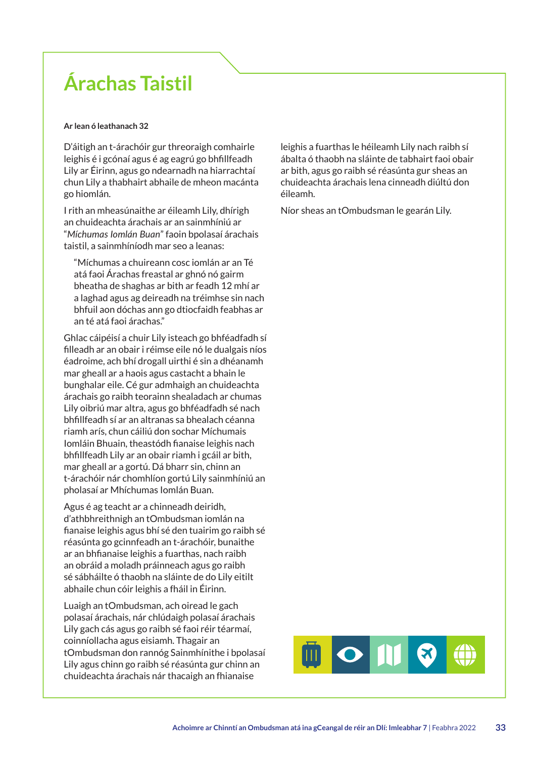#### **Ar lean ó leathanach 32**

D'áitigh an t-árachóir gur threoraigh comhairle leighis é i gcónaí agus é ag eagrú go bhfillfeadh Lily ar Éirinn, agus go ndearnadh na hiarrachtaí chun Lily a thabhairt abhaile de mheon macánta go hiomlán.

I rith an mheasúnaithe ar éileamh Lily, dhírigh an chuideachta árachais ar an sainmhíniú ar "*Míchumas Iomlán Buan*" faoin bpolasaí árachais taistil, a sainmhíníodh mar seo a leanas:

"Míchumas a chuireann cosc iomlán ar an Té atá faoi Árachas freastal ar ghnó nó gairm bheatha de shaghas ar bith ar feadh 12 mhí ar a laghad agus ag deireadh na tréimhse sin nach bhfuil aon dóchas ann go dtiocfaidh feabhas ar an té atá faoi árachas."

Ghlac cáipéisí a chuir Lily isteach go bhféadfadh sí filleadh ar an obair i réimse eile nó le dualgais níos éadroime, ach bhí drogall uirthi é sin a dhéanamh mar gheall ar a haois agus castacht a bhain le bunghalar eile. Cé gur admhaigh an chuideachta árachais go raibh teorainn shealadach ar chumas Lily oibriú mar altra, agus go bhféadfadh sé nach bhfillfeadh sí ar an altranas sa bhealach céanna riamh arís, chun cáiliú don sochar Míchumais Iomláin Bhuain, theastódh fianaise leighis nach bhfillfeadh Lily ar an obair riamh i gcáil ar bith, mar gheall ar a gortú. Dá bharr sin, chinn an t-árachóir nár chomhlíon gortú Lily sainmhíniú an pholasaí ar Mhíchumas Iomlán Buan.

Agus é ag teacht ar a chinneadh deiridh, d'athbhreithnigh an tOmbudsman iomlán na fianaise leighis agus bhí sé den tuairim go raibh sé réasúnta go gcinnfeadh an t-árachóir, bunaithe ar an bhfianaise leighis a fuarthas, nach raibh an obráid a moladh práinneach agus go raibh sé sábháilte ó thaobh na sláinte de do Lily eitilt abhaile chun cóir leighis a fháil in Éirinn.

Luaigh an tOmbudsman, ach oiread le gach polasaí árachais, nár chlúdaigh polasaí árachais Lily gach cás agus go raibh sé faoi réir téarmaí, coinníollacha agus eisiamh. Thagair an tOmbudsman don rannóg Sainmhínithe i bpolasaí Lily agus chinn go raibh sé réasúnta gur chinn an chuideachta árachais nár thacaigh an fhianaise

leighis a fuarthas le héileamh Lily nach raibh sí ábalta ó thaobh na sláinte de tabhairt faoi obair ar bith, agus go raibh sé réasúnta gur sheas an chuideachta árachais lena cinneadh diúltú don éileamh.

Níor sheas an tOmbudsman le gearán Lily.

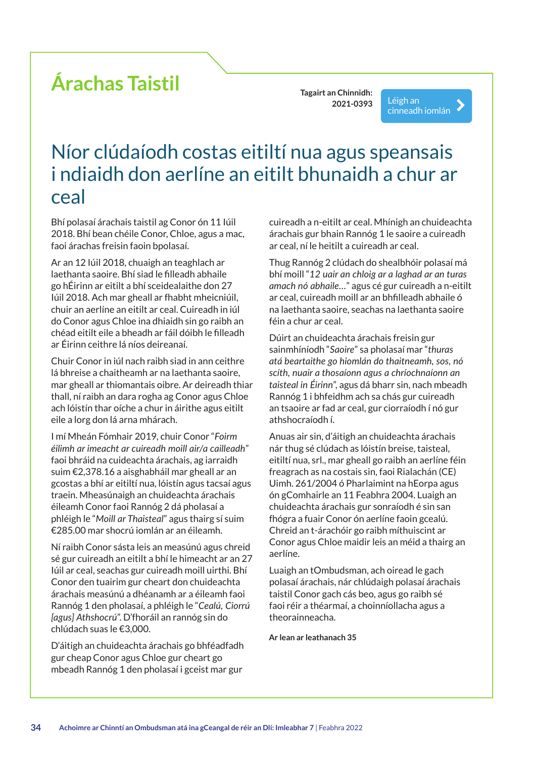**Tagairt an Chinnidh: 2021-0393** Léigh an

### [cinneadh iomlán](https://www.fspo.ie/decisions/documents/2021-0393.pdf)

### <span id="page-34-0"></span>Níor clúdaíodh costas eitiltí nua agus speansais i ndiaidh don aerlíne an eitilt bhunaidh a chur ar ceal

Bhí polasaí árachais taistil ag Conor ón 11 Iúil 2018. Bhí bean chéile Conor, Chloe, agus a mac, faoi árachas freisin faoin bpolasaí.

Ar an 12 Iúil 2018, chuaigh an teaghlach ar laethanta saoire. Bhí siad le filleadh abhaile go hÉirinn ar eitilt a bhí sceidealaithe don 27 Iúil 2018. Ach mar gheall ar fhabht mheicniúil, chuir an aerlíne an eitilt ar ceal. Cuireadh in iúl do Conor agus Chloe ina dhiaidh sin go raibh an chéad eitilt eile a bheadh ar fáil dóibh le filleadh ar Éirinn ceithre lá níos deireanaí.

Chuir Conor in iúl nach raibh siad in ann ceithre lá bhreise a chaitheamh ar na laethanta saoire, mar gheall ar thiomantais oibre. Ar deireadh thiar thall, ní raibh an dara rogha ag Conor agus Chloe ach lóistín thar oíche a chur in áirithe agus eitilt eile a lorg don lá arna mhárach.

I mí Mheán Fómhair 2019, chuir Conor "*Foirm éilimh ar imeacht ar cuireadh moill air/a cailleadh*" faoi bhráid na cuideachta árachais, ag iarraidh suim €2,378.16 a aisghabháil mar gheall ar an gcostas a bhí ar eitiltí nua, lóistín agus tacsaí agus traein. Mheasúnaigh an chuideachta árachais éileamh Conor faoi Rannóg 2 dá pholasaí a phléigh le "*Moill ar Thaisteal*" agus thairg sí suim €285.00 mar shocrú iomlán ar an éileamh.

Ní raibh Conor sásta leis an measúnú agus chreid sé gur cuireadh an eitilt a bhí le himeacht ar an 27 Iúil ar ceal, seachas gur cuireadh moill uirthi. Bhí Conor den tuairim gur cheart don chuideachta árachais measúnú a dhéanamh ar a éileamh faoi Rannóg 1 den pholasaí, a phléigh le "*Cealú, Ciorrú [agus] Athshocrú*". D'fhoráil an rannóg sin do chlúdach suas le €3,000.

D'áitigh an chuideachta árachais go bhféadfadh gur cheap Conor agus Chloe gur cheart go mbeadh Rannóg 1 den pholasaí i gceist mar gur

cuireadh a n-eitilt ar ceal. Mhínigh an chuideachta árachais gur bhain Rannóg 1 le saoire a cuireadh ar ceal, ní le heitilt a cuireadh ar ceal.

Thug Rannóg 2 clúdach do shealbhóir polasaí má bhí moill "*12 uair an chloig ar a laghad ar an turas amach nó abhaile…*" agus cé gur cuireadh a n-eitilt ar ceal, cuireadh moill ar an bhfilleadh abhaile ó na laethanta saoire, seachas na laethanta saoire féin a chur ar ceal.

Dúirt an chuideachta árachais freisin gur sainmhíníodh "*Saoire*" sa pholasaí mar "*thuras atá beartaithe go hiomlán do thaitneamh, sos, nó scíth, nuair a thosaíonn agus a chríochnaíonn an taisteal in Éirinn*", agus dá bharr sin, nach mbeadh Rannóg 1 i bhfeidhm ach sa chás gur cuireadh an tsaoire ar fad ar ceal, gur ciorraíodh í nó gur athshocraíodh í.

Anuas air sin, d'áitigh an chuideachta árachais nár thug sé clúdach as lóistín breise, taisteal, eitiltí nua, srl., mar gheall go raibh an aerlíne féin freagrach as na costais sin, faoi Rialachán (CE) Uimh. 261/2004 ó Pharlaimint na hEorpa agus ón gComhairle an 11 Feabhra 2004. Luaigh an chuideachta árachais gur sonraíodh é sin san fhógra a fuair Conor ón aerlíne faoin gcealú. Chreid an t-árachóir go raibh míthuiscint ar Conor agus Chloe maidir leis an méid a thairg an aerlíne.

Luaigh an tOmbudsman, ach oiread le gach polasaí árachais, nár chlúdaigh polasaí árachais taistil Conor gach cás beo, agus go raibh sé faoi réir a théarmaí, a choinníollacha agus a theorainneacha.

**Ar lean ar leathanach 35**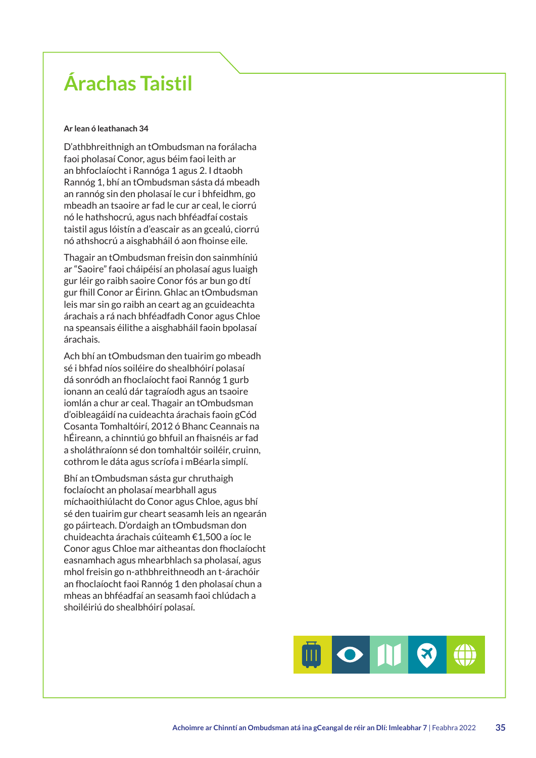#### **Ar lean ó leathanach 34**

D'athbhreithnigh an tOmbudsman na forálacha faoi pholasaí Conor, agus béim faoi leith ar an bhfoclaíocht i Rannóga 1 agus 2. I dtaobh Rannóg 1, bhí an tOmbudsman sásta dá mbeadh an rannóg sin den pholasaí le cur i bhfeidhm, go mbeadh an tsaoire ar fad le cur ar ceal, le ciorrú nó le hathshocrú, agus nach bhféadfaí costais taistil agus lóistín a d'eascair as an gcealú, ciorrú nó athshocrú a aisghabháil ó aon fhoinse eile.

Thagair an tOmbudsman freisin don sainmhíniú ar "Saoire" faoi cháipéisí an pholasaí agus luaigh gur léir go raibh saoire Conor fós ar bun go dtí gur fhill Conor ar Éirinn. Ghlac an tOmbudsman leis mar sin go raibh an ceart ag an gcuideachta árachais a rá nach bhféadfadh Conor agus Chloe na speansais éilithe a aisghabháil faoin bpolasaí árachais.

Ach bhí an tOmbudsman den tuairim go mbeadh sé i bhfad níos soiléire do shealbhóirí polasaí dá sonródh an fhoclaíocht faoi Rannóg 1 gurb ionann an cealú dár tagraíodh agus an tsaoire iomlán a chur ar ceal. Thagair an tOmbudsman d'oibleagáidí na cuideachta árachais faoin gCód Cosanta Tomhaltóirí, 2012 ó Bhanc Ceannais na hÉireann, a chinntiú go bhfuil an fhaisnéis ar fad a sholáthraíonn sé don tomhaltóir soiléir, cruinn, cothrom le dáta agus scríofa i mBéarla simplí.

Bhí an tOmbudsman sásta gur chruthaigh foclaíocht an pholasaí mearbhall agus míchaoithiúlacht do Conor agus Chloe, agus bhí sé den tuairim gur cheart seasamh leis an ngearán go páirteach. D'ordaigh an tOmbudsman don chuideachta árachais cúiteamh €1,500 a íoc le Conor agus Chloe mar aitheantas don fhoclaíocht easnamhach agus mhearbhlach sa pholasaí, agus mhol freisin go n-athbhreithneodh an t-árachóir an fhoclaíocht faoi Rannóg 1 den pholasaí chun a mheas an bhféadfaí an seasamh faoi chlúdach a shoiléiriú do shealbhóirí polasaí.

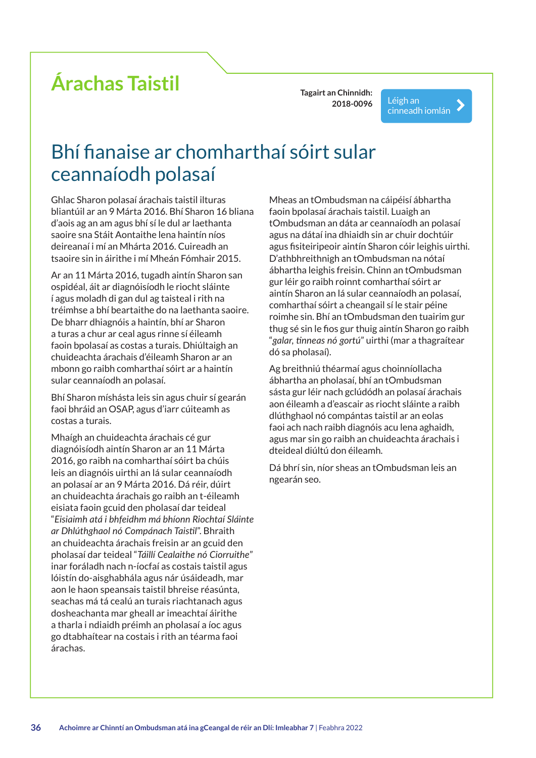**2018-0096**

Léigh an [cinneadh iomlán](https://www.fspo.ie/decisions/documents/2018-0096.pdf) 

### <span id="page-36-0"></span>Bhí fianaise ar chomharthaí sóirt sular ceannaíodh polasaí

Ghlac Sharon polasaí árachais taistil ilturas bliantúil ar an 9 Márta 2016. Bhí Sharon 16 bliana d'aois ag an am agus bhí sí le dul ar laethanta saoire sna Stáit Aontaithe lena haintín níos deireanaí i mí an Mhárta 2016. Cuireadh an tsaoire sin in áirithe i mí Mheán Fómhair 2015.

Ar an 11 Márta 2016, tugadh aintín Sharon san ospidéal, áit ar diagnóisíodh le riocht sláinte í agus moladh di gan dul ag taisteal i rith na tréimhse a bhí beartaithe do na laethanta saoire. De bharr dhiagnóis a haintín, bhí ar Sharon a turas a chur ar ceal agus rinne sí éileamh faoin bpolasaí as costas a turais. Dhiúltaigh an chuideachta árachais d'éileamh Sharon ar an mbonn go raibh comharthaí sóirt ar a haintín sular ceannaíodh an polasaí.

Bhí Sharon míshásta leis sin agus chuir sí gearán faoi bhráid an OSAP, agus d'iarr cúiteamh as costas a turais.

Mhaígh an chuideachta árachais cé gur diagnóisíodh aintín Sharon ar an 11 Márta 2016, go raibh na comharthaí sóirt ba chúis leis an diagnóis uirthi an lá sular ceannaíodh an polasaí ar an 9 Márta 2016. Dá réir, dúirt an chuideachta árachais go raibh an t-éileamh eisiata faoin gcuid den pholasaí dar teideal "*Eisiaimh atá i bhfeidhm má bhíonn Riochtaí Sláinte ar Dhlúthghaol nó Compánach Taistil*". Bhraith an chuideachta árachais freisin ar an gcuid den pholasaí dar teideal "*Táillí Cealaithe nó Ciorruithe*" inar foráladh nach n-íocfaí as costais taistil agus lóistín do-aisghabhála agus nár úsáideadh, mar aon le haon speansais taistil bhreise réasúnta, seachas má tá cealú an turais riachtanach agus dosheachanta mar gheall ar imeachtaí áirithe a tharla i ndiaidh préimh an pholasaí a íoc agus go dtabhaítear na costais i rith an téarma faoi árachas.

Mheas an tOmbudsman na cáipéisí ábhartha faoin bpolasaí árachais taistil. Luaigh an tOmbudsman an dáta ar ceannaíodh an polasaí agus na dátaí ina dhiaidh sin ar chuir dochtúir agus fisiteiripeoir aintín Sharon cóir leighis uirthi. D'athbhreithnigh an tOmbudsman na nótaí ábhartha leighis freisin. Chinn an tOmbudsman gur léir go raibh roinnt comharthaí sóirt ar aintín Sharon an lá sular ceannaíodh an polasaí, comharthaí sóirt a cheangail sí le stair péine roimhe sin. Bhí an tOmbudsman den tuairim gur thug sé sin le fios gur thuig aintín Sharon go raibh "*galar, tinneas nó gortú*" uirthi (mar a thagraítear dó sa pholasaí).

Ag breithniú théarmaí agus choinníollacha ábhartha an pholasaí, bhí an tOmbudsman sásta gur léir nach gclúdódh an polasaí árachais aon éileamh a d'eascair as riocht sláinte a raibh dlúthghaol nó compántas taistil ar an eolas faoi ach nach raibh diagnóis acu lena aghaidh, agus mar sin go raibh an chuideachta árachais i dteideal diúltú don éileamh.

Dá bhrí sin, níor sheas an tOmbudsman leis an ngearán seo.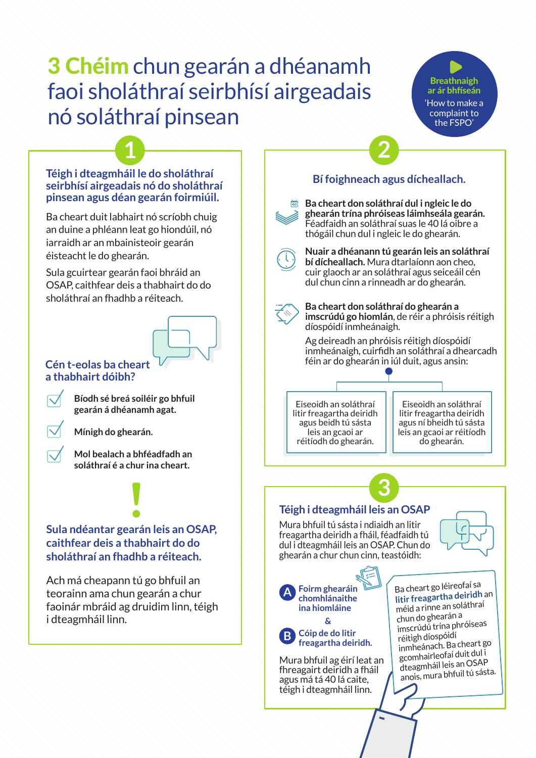# <span id="page-37-0"></span>3 Chéim chun gearán a dhéanamh faoi sholáthraí seirbhísí airgeadais nó soláthraí pinsean

**Breathnaigh** ar ár bhfíseán ['How to make a](https://www.fspo.ie/make-a-complaint/)  complaint to the FSPO'

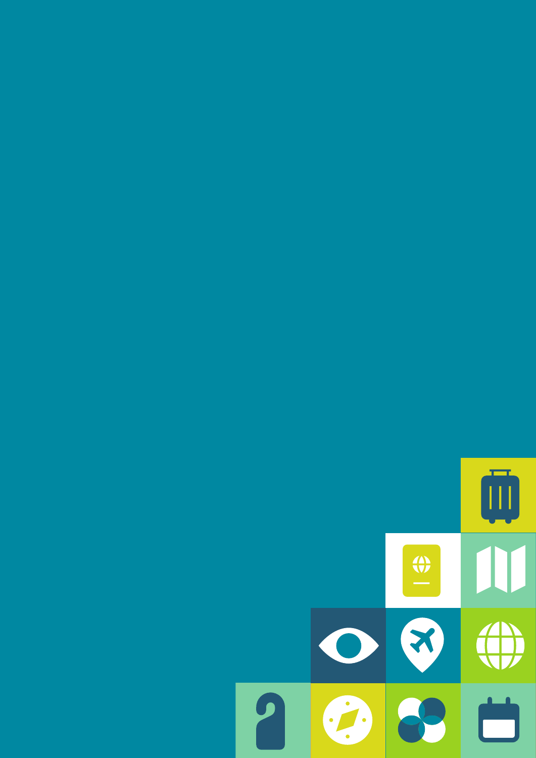